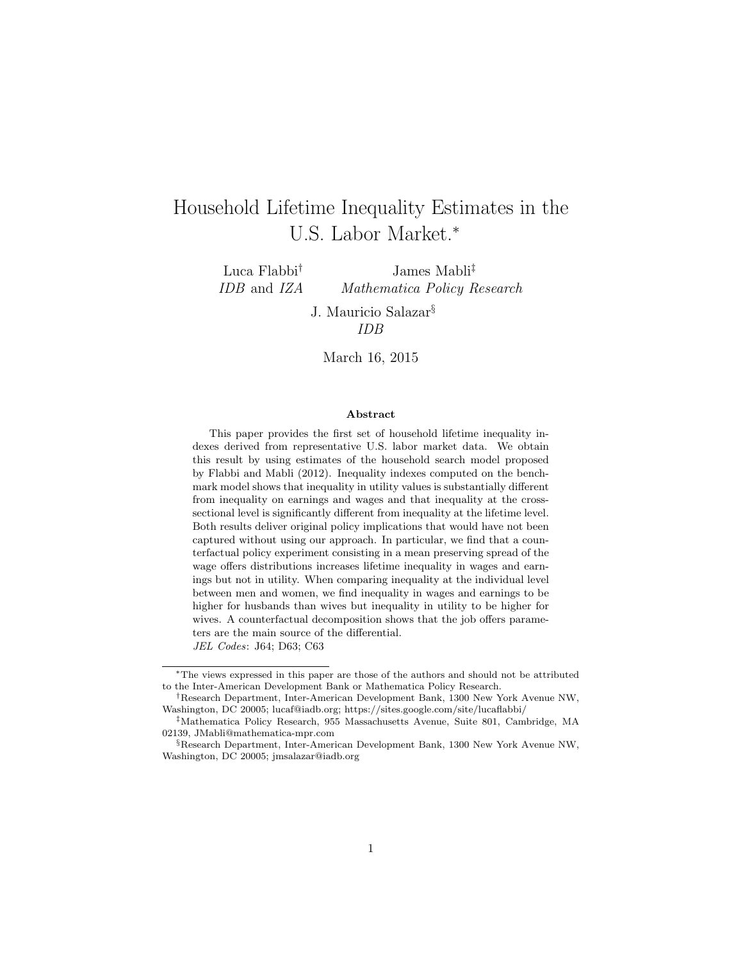# Household Lifetime Inequality Estimates in the U.S. Labor Market.<sup>∗</sup>

Luca Flabbi† IDB and IZA James Mabli‡ Mathematica Policy Research

> J. Mauricio Salazar§ IDB

March 16, 2015

#### Abstract

This paper provides the first set of household lifetime inequality indexes derived from representative U.S. labor market data. We obtain this result by using estimates of the household search model proposed by Flabbi and Mabli (2012). Inequality indexes computed on the benchmark model shows that inequality in utility values is substantially different from inequality on earnings and wages and that inequality at the crosssectional level is significantly different from inequality at the lifetime level. Both results deliver original policy implications that would have not been captured without using our approach. In particular, we find that a counterfactual policy experiment consisting in a mean preserving spread of the wage offers distributions increases lifetime inequality in wages and earnings but not in utility. When comparing inequality at the individual level between men and women, we find inequality in wages and earnings to be higher for husbands than wives but inequality in utility to be higher for wives. A counterfactual decomposition shows that the job offers parameters are the main source of the differential.

JEL Codes: J64; D63; C63

<sup>∗</sup>The views expressed in this paper are those of the authors and should not be attributed to the Inter-American Development Bank or Mathematica Policy Research.

<sup>†</sup>Research Department, Inter-American Development Bank, 1300 New York Avenue NW, Washington, DC 20005; lucaf@iadb.org; https://sites.google.com/site/lucaflabbi/

<sup>‡</sup>Mathematica Policy Research, 955 Massachusetts Avenue, Suite 801, Cambridge, MA 02139, JMabli@mathematica-mpr.com

<sup>§</sup>Research Department, Inter-American Development Bank, 1300 New York Avenue NW, Washington, DC 20005; jmsalazar@iadb.org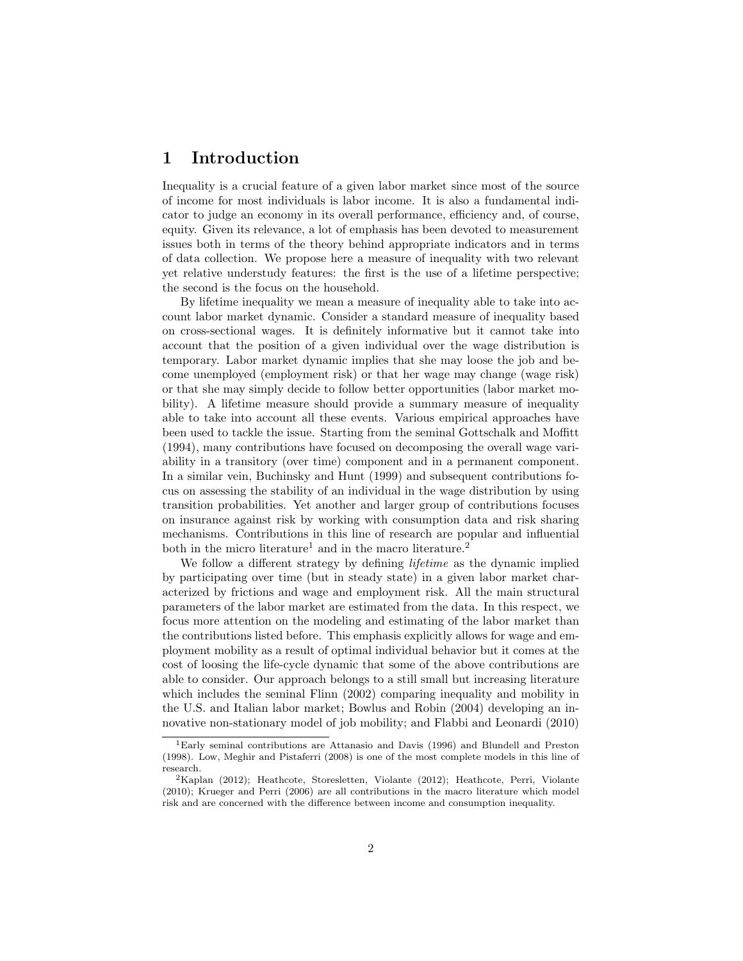## 1 Introduction

Inequality is a crucial feature of a given labor market since most of the source of income for most individuals is labor income. It is also a fundamental indicator to judge an economy in its overall performance, efficiency and, of course, equity. Given its relevance, a lot of emphasis has been devoted to measurement issues both in terms of the theory behind appropriate indicators and in terms of data collection. We propose here a measure of inequality with two relevant yet relative understudy features: the first is the use of a lifetime perspective; the second is the focus on the household.

By lifetime inequality we mean a measure of inequality able to take into account labor market dynamic. Consider a standard measure of inequality based on cross-sectional wages. It is definitely informative but it cannot take into account that the position of a given individual over the wage distribution is temporary. Labor market dynamic implies that she may loose the job and become unemployed (employment risk) or that her wage may change (wage risk) or that she may simply decide to follow better opportunities (labor market mobility). A lifetime measure should provide a summary measure of inequality able to take into account all these events. Various empirical approaches have been used to tackle the issue. Starting from the seminal Gottschalk and Moffitt (1994), many contributions have focused on decomposing the overall wage variability in a transitory (over time) component and in a permanent component. In a similar vein, Buchinsky and Hunt (1999) and subsequent contributions focus on assessing the stability of an individual in the wage distribution by using transition probabilities. Yet another and larger group of contributions focuses on insurance against risk by working with consumption data and risk sharing mechanisms. Contributions in this line of research are popular and influential both in the micro literature<sup>1</sup> and in the macro literature.<sup>2</sup>

We follow a different strategy by defining *lifetime* as the dynamic implied by participating over time (but in steady state) in a given labor market characterized by frictions and wage and employment risk. All the main structural parameters of the labor market are estimated from the data. In this respect, we focus more attention on the modeling and estimating of the labor market than the contributions listed before. This emphasis explicitly allows for wage and employment mobility as a result of optimal individual behavior but it comes at the cost of loosing the life-cycle dynamic that some of the above contributions are able to consider. Our approach belongs to a still small but increasing literature which includes the seminal Flinn (2002) comparing inequality and mobility in the U.S. and Italian labor market; Bowlus and Robin (2004) developing an innovative non-stationary model of job mobility; and Flabbi and Leonardi (2010)

<sup>1</sup>Early seminal contributions are Attanasio and Davis (1996) and Blundell and Preston (1998). Low, Meghir and Pistaferri (2008) is one of the most complete models in this line of research.

<sup>2</sup>Kaplan (2012); Heathcote, Storesletten, Violante (2012); Heathcote, Perri, Violante (2010); Krueger and Perri (2006) are all contributions in the macro literature which model risk and are concerned with the difference between income and consumption inequality.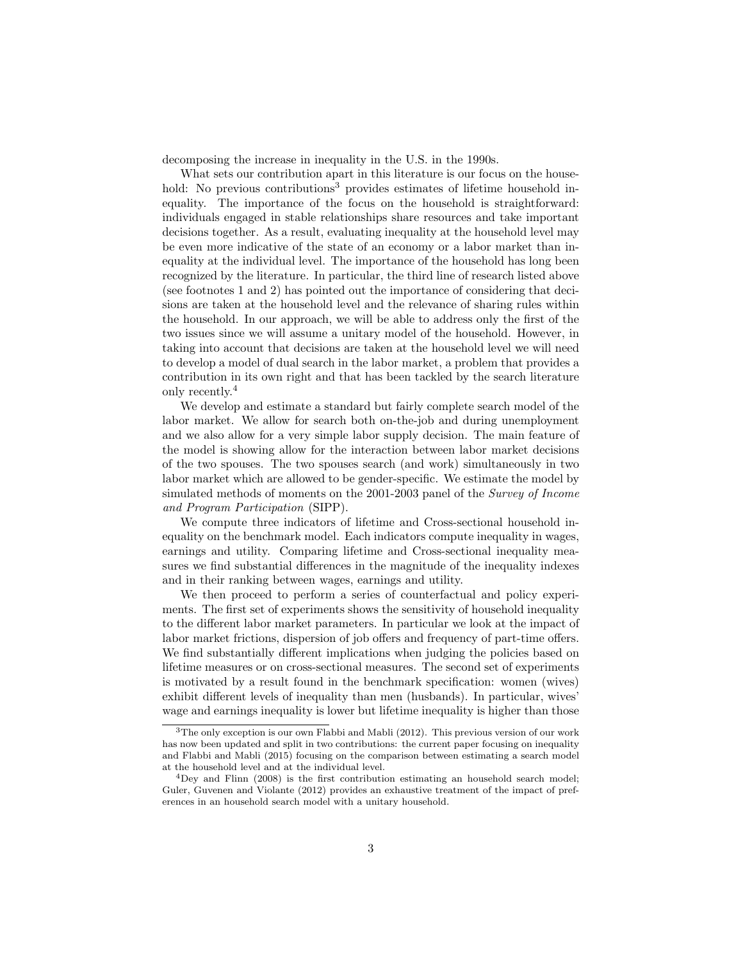decomposing the increase in inequality in the U.S. in the 1990s.

What sets our contribution apart in this literature is our focus on the household: No previous contributions<sup>3</sup> provides estimates of lifetime household inequality. The importance of the focus on the household is straightforward: individuals engaged in stable relationships share resources and take important decisions together. As a result, evaluating inequality at the household level may be even more indicative of the state of an economy or a labor market than inequality at the individual level. The importance of the household has long been recognized by the literature. In particular, the third line of research listed above (see footnotes 1 and 2) has pointed out the importance of considering that decisions are taken at the household level and the relevance of sharing rules within the household. In our approach, we will be able to address only the first of the two issues since we will assume a unitary model of the household. However, in taking into account that decisions are taken at the household level we will need to develop a model of dual search in the labor market, a problem that provides a contribution in its own right and that has been tackled by the search literature only recently.<sup>4</sup>

We develop and estimate a standard but fairly complete search model of the labor market. We allow for search both on-the-job and during unemployment and we also allow for a very simple labor supply decision. The main feature of the model is showing allow for the interaction between labor market decisions of the two spouses. The two spouses search (and work) simultaneously in two labor market which are allowed to be gender-specific. We estimate the model by simulated methods of moments on the 2001-2003 panel of the Survey of Income and Program Participation (SIPP).

We compute three indicators of lifetime and Cross-sectional household inequality on the benchmark model. Each indicators compute inequality in wages, earnings and utility. Comparing lifetime and Cross-sectional inequality measures we find substantial differences in the magnitude of the inequality indexes and in their ranking between wages, earnings and utility.

We then proceed to perform a series of counterfactual and policy experiments. The first set of experiments shows the sensitivity of household inequality to the different labor market parameters. In particular we look at the impact of labor market frictions, dispersion of job offers and frequency of part-time offers. We find substantially different implications when judging the policies based on lifetime measures or on cross-sectional measures. The second set of experiments is motivated by a result found in the benchmark specification: women (wives) exhibit different levels of inequality than men (husbands). In particular, wives' wage and earnings inequality is lower but lifetime inequality is higher than those

<sup>&</sup>lt;sup>3</sup>The only exception is our own Flabbi and Mabli (2012). This previous version of our work has now been updated and split in two contributions: the current paper focusing on inequality and Flabbi and Mabli (2015) focusing on the comparison between estimating a search model at the household level and at the individual level.

<sup>4</sup>Dey and Flinn (2008) is the first contribution estimating an household search model; Guler, Guvenen and Violante (2012) provides an exhaustive treatment of the impact of preferences in an household search model with a unitary household.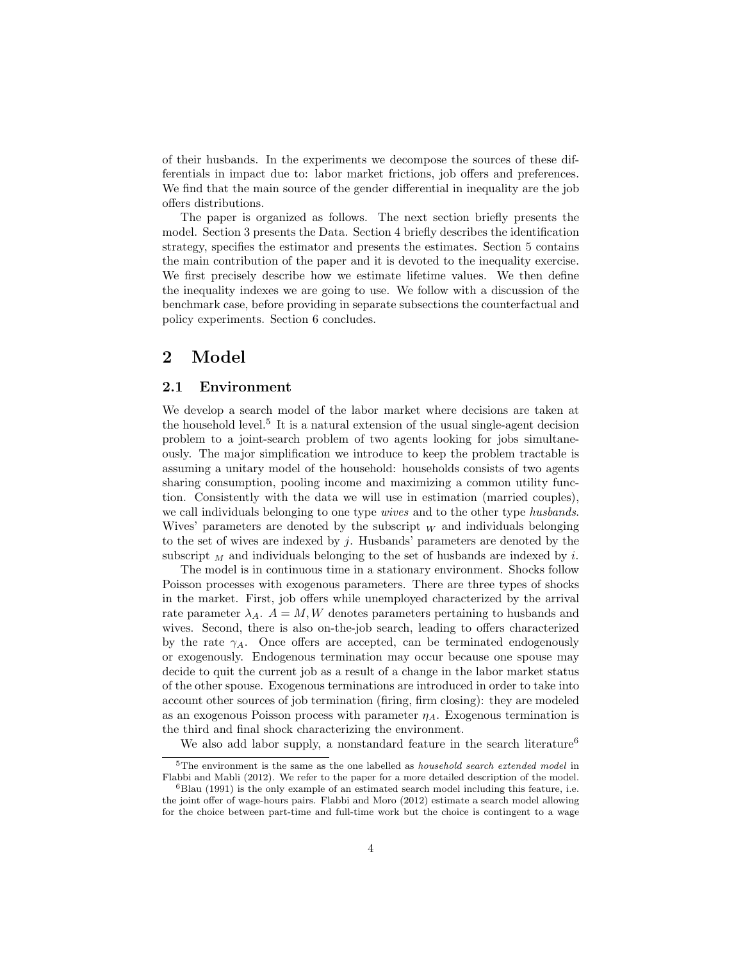of their husbands. In the experiments we decompose the sources of these differentials in impact due to: labor market frictions, job offers and preferences. We find that the main source of the gender differential in inequality are the job offers distributions.

The paper is organized as follows. The next section briefly presents the model. Section 3 presents the Data. Section 4 briefly describes the identification strategy, specifies the estimator and presents the estimates. Section 5 contains the main contribution of the paper and it is devoted to the inequality exercise. We first precisely describe how we estimate lifetime values. We then define the inequality indexes we are going to use. We follow with a discussion of the benchmark case, before providing in separate subsections the counterfactual and policy experiments. Section 6 concludes.

## 2 Model

### 2.1 Environment

We develop a search model of the labor market where decisions are taken at the household level.<sup>5</sup> It is a natural extension of the usual single-agent decision problem to a joint-search problem of two agents looking for jobs simultaneously. The major simplification we introduce to keep the problem tractable is assuming a unitary model of the household: households consists of two agents sharing consumption, pooling income and maximizing a common utility function. Consistently with the data we will use in estimation (married couples), we call individuals belonging to one type *wives* and to the other type *husbands*. Wives' parameters are denoted by the subscript  $W$  and individuals belonging to the set of wives are indexed by  $j$ . Husbands' parameters are denoted by the subscript  $_M$  and individuals belonging to the set of husbands are indexed by i.

The model is in continuous time in a stationary environment. Shocks follow Poisson processes with exogenous parameters. There are three types of shocks in the market. First, job offers while unemployed characterized by the arrival rate parameter  $\lambda_A$ .  $A = M, W$  denotes parameters pertaining to husbands and wives. Second, there is also on-the-job search, leading to offers characterized by the rate  $\gamma_A$ . Once offers are accepted, can be terminated endogenously or exogenously. Endogenous termination may occur because one spouse may decide to quit the current job as a result of a change in the labor market status of the other spouse. Exogenous terminations are introduced in order to take into account other sources of job termination (firing, firm closing): they are modeled as an exogenous Poisson process with parameter  $\eta_A$ . Exogenous termination is the third and final shock characterizing the environment.

We also add labor supply, a nonstandard feature in the search literature<sup>6</sup>

<sup>&</sup>lt;sup>5</sup>The environment is the same as the one labelled as *household search extended model* in Flabbi and Mabli (2012). We refer to the paper for a more detailed description of the model.

 $6B$ lau (1991) is the only example of an estimated search model including this feature, i.e. the joint offer of wage-hours pairs. Flabbi and Moro (2012) estimate a search model allowing for the choice between part-time and full-time work but the choice is contingent to a wage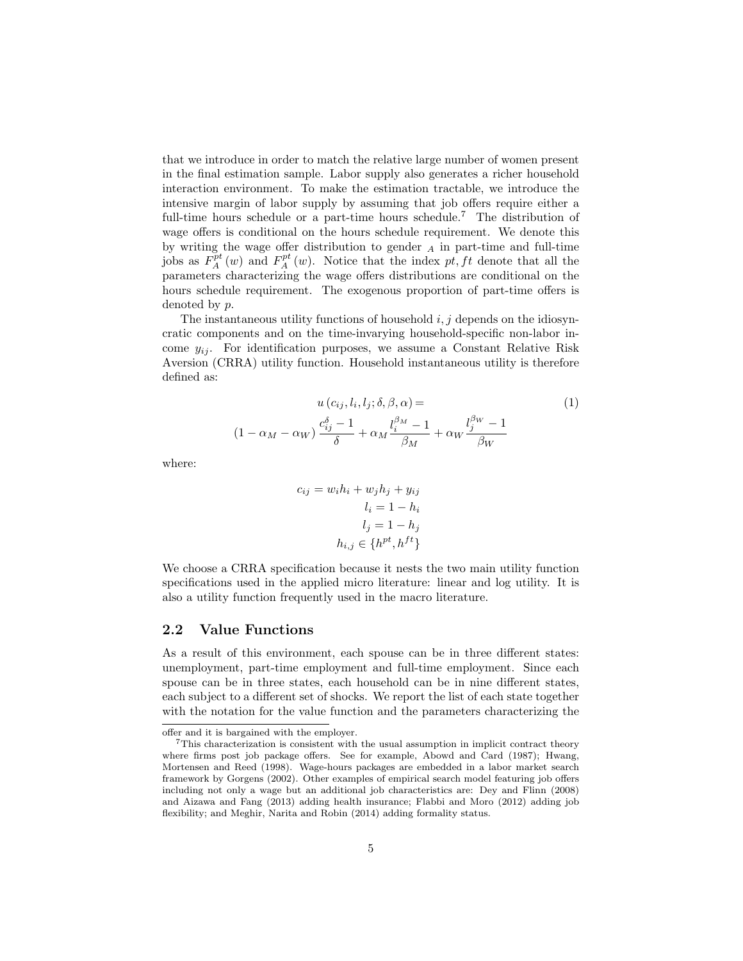that we introduce in order to match the relative large number of women present in the final estimation sample. Labor supply also generates a richer household interaction environment. To make the estimation tractable, we introduce the intensive margin of labor supply by assuming that job offers require either a full-time hours schedule or a part-time hours schedule.<sup>7</sup> The distribution of wage offers is conditional on the hours schedule requirement. We denote this by writing the wage offer distribution to gender  $_A$  in part-time and full-time jobs as  $F_A^{pt}(w)$  and  $F_A^{pt}(w)$ . Notice that the index pt, ft denote that all the parameters characterizing the wage offers distributions are conditional on the hours schedule requirement. The exogenous proportion of part-time offers is denoted by p.

The instantaneous utility functions of household  $i, j$  depends on the idiosyncratic components and on the time-invarying household-specific non-labor income  $y_{ij}$ . For identification purposes, we assume a Constant Relative Risk Aversion (CRRA) utility function. Household instantaneous utility is therefore defined as:

$$
u(c_{ij}, l_i, l_j; \delta, \beta, \alpha) =
$$

$$
(1 - \alpha_M - \alpha_W) \frac{c_{ij}^{\delta} - 1}{\delta} + \alpha_M \frac{l_i^{\beta_M} - 1}{\beta_M} + \alpha_W \frac{l_j^{\beta_W} - 1}{\beta_W}
$$

$$
(1)
$$

where:

$$
c_{ij} = w_i h_i + w_j h_j + y_{ij}
$$

$$
l_i = 1 - h_i
$$

$$
l_j = 1 - h_j
$$

$$
h_{i,j} \in \{h^{pt}, h^{ft}\}
$$

We choose a CRRA specification because it nests the two main utility function specifications used in the applied micro literature: linear and log utility. It is also a utility function frequently used in the macro literature.

#### 2.2 Value Functions

As a result of this environment, each spouse can be in three different states: unemployment, part-time employment and full-time employment. Since each spouse can be in three states, each household can be in nine different states, each subject to a different set of shocks. We report the list of each state together with the notation for the value function and the parameters characterizing the

offer and it is bargained with the employer.

 $7$ This characterization is consistent with the usual assumption in implicit contract theory where firms post job package offers. See for example, Abowd and Card (1987); Hwang, Mortensen and Reed (1998). Wage-hours packages are embedded in a labor market search framework by Gorgens (2002). Other examples of empirical search model featuring job offers including not only a wage but an additional job characteristics are: Dey and Flinn (2008) and Aizawa and Fang (2013) adding health insurance; Flabbi and Moro (2012) adding job flexibility; and Meghir, Narita and Robin (2014) adding formality status.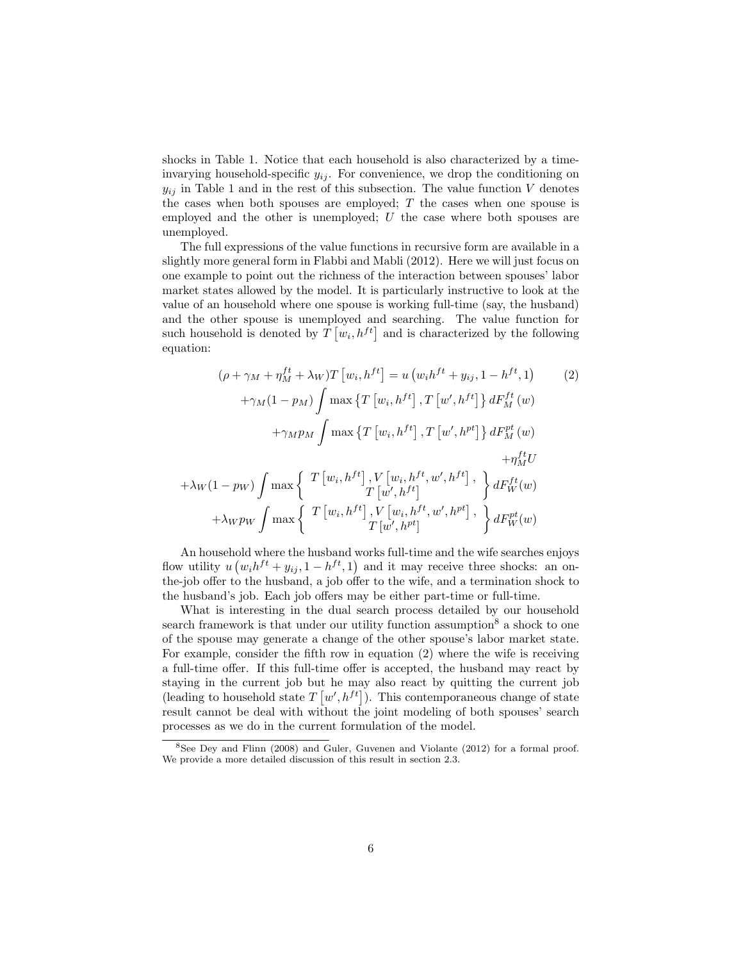shocks in Table 1. Notice that each household is also characterized by a timeinvarying household-specific  $y_{ij}$ . For convenience, we drop the conditioning on  $y_{ij}$  in Table 1 and in the rest of this subsection. The value function V denotes the cases when both spouses are employed;  $T$  the cases when one spouse is employed and the other is unemployed; U the case where both spouses are unemployed.

The full expressions of the value functions in recursive form are available in a slightly more general form in Flabbi and Mabli (2012). Here we will just focus on one example to point out the richness of the interaction between spouses' labor market states allowed by the model. It is particularly instructive to look at the value of an household where one spouse is working full-time (say, the husband) and the other spouse is unemployed and searching. The value function for such household is denoted by  $T\left[w_i, h^{ft}\right]$  and is characterized by the following equation:

$$
(\rho + \gamma_M + \eta_M^{ft} + \lambda_W)T [w_i, h^{ft}] = u (w_i h^{ft} + y_{ij}, 1 - h^{ft}, 1)
$$
\n
$$
+ \gamma_M (1 - p_M) \int \max \left\{ T [w_i, h^{ft}], T [w', h^{ft}] \right\} dF_M^{ft}(w)
$$
\n
$$
+ \gamma_M p_M \int \max \left\{ T [w_i, h^{ft}], T [w', h^{pt}] \right\} dF_M^{pt}(w)
$$
\n
$$
+ \lambda_W (1 - p_W) \int \max \left\{ T [w_i, h^{ft}], V [w_i, h^{ft}, w', h^{ft}], \right\} dF_W^{ft}(w)
$$
\n
$$
+ \lambda_W p_W \int \max \left\{ T [w_i, h^{ft}], V [w_i, h^{ft}, w', h^{pt}], \right\} dF_W^{pt}(w)
$$

An household where the husband works full-time and the wife searches enjoys flow utility  $u(w_i h^{ft} + y_{ij}, 1 - h^{ft}, 1)$  and it may receive three shocks: an onthe-job offer to the husband, a job offer to the wife, and a termination shock to the husband's job. Each job offers may be either part-time or full-time.

What is interesting in the dual search process detailed by our household search framework is that under our utility function assumption<sup>8</sup> a shock to one of the spouse may generate a change of the other spouse's labor market state. For example, consider the fifth row in equation (2) where the wife is receiving a full-time offer. If this full-time offer is accepted, the husband may react by staying in the current job but he may also react by quitting the current job (leading to household state  $T[w', h^{ft}]$ ). This contemporaneous change of state result cannot be deal with without the joint modeling of both spouses' search processes as we do in the current formulation of the model.

<sup>8</sup>See Dey and Flinn (2008) and Guler, Guvenen and Violante (2012) for a formal proof. We provide a more detailed discussion of this result in section 2.3.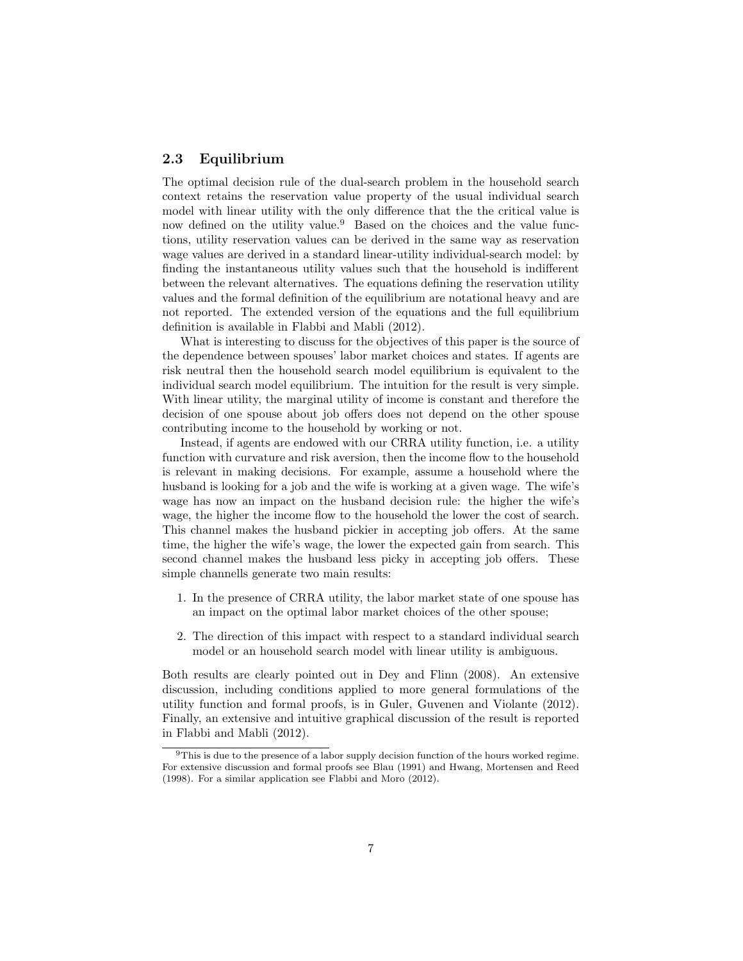## 2.3 Equilibrium

The optimal decision rule of the dual-search problem in the household search context retains the reservation value property of the usual individual search model with linear utility with the only difference that the the critical value is now defined on the utility value.<sup>9</sup> Based on the choices and the value functions, utility reservation values can be derived in the same way as reservation wage values are derived in a standard linear-utility individual-search model: by finding the instantaneous utility values such that the household is indifferent between the relevant alternatives. The equations defining the reservation utility values and the formal definition of the equilibrium are notational heavy and are not reported. The extended version of the equations and the full equilibrium definition is available in Flabbi and Mabli (2012).

What is interesting to discuss for the objectives of this paper is the source of the dependence between spouses' labor market choices and states. If agents are risk neutral then the household search model equilibrium is equivalent to the individual search model equilibrium. The intuition for the result is very simple. With linear utility, the marginal utility of income is constant and therefore the decision of one spouse about job offers does not depend on the other spouse contributing income to the household by working or not.

Instead, if agents are endowed with our CRRA utility function, i.e. a utility function with curvature and risk aversion, then the income flow to the household is relevant in making decisions. For example, assume a household where the husband is looking for a job and the wife is working at a given wage. The wife's wage has now an impact on the husband decision rule: the higher the wife's wage, the higher the income flow to the household the lower the cost of search. This channel makes the husband pickier in accepting job offers. At the same time, the higher the wife's wage, the lower the expected gain from search. This second channel makes the husband less picky in accepting job offers. These simple channells generate two main results:

- 1. In the presence of CRRA utility, the labor market state of one spouse has an impact on the optimal labor market choices of the other spouse;
- 2. The direction of this impact with respect to a standard individual search model or an household search model with linear utility is ambiguous.

Both results are clearly pointed out in Dey and Flinn (2008). An extensive discussion, including conditions applied to more general formulations of the utility function and formal proofs, is in Guler, Guvenen and Violante (2012). Finally, an extensive and intuitive graphical discussion of the result is reported in Flabbi and Mabli (2012).

<sup>&</sup>lt;sup>9</sup>This is due to the presence of a labor supply decision function of the hours worked regime. For extensive discussion and formal proofs see Blau (1991) and Hwang, Mortensen and Reed (1998). For a similar application see Flabbi and Moro (2012).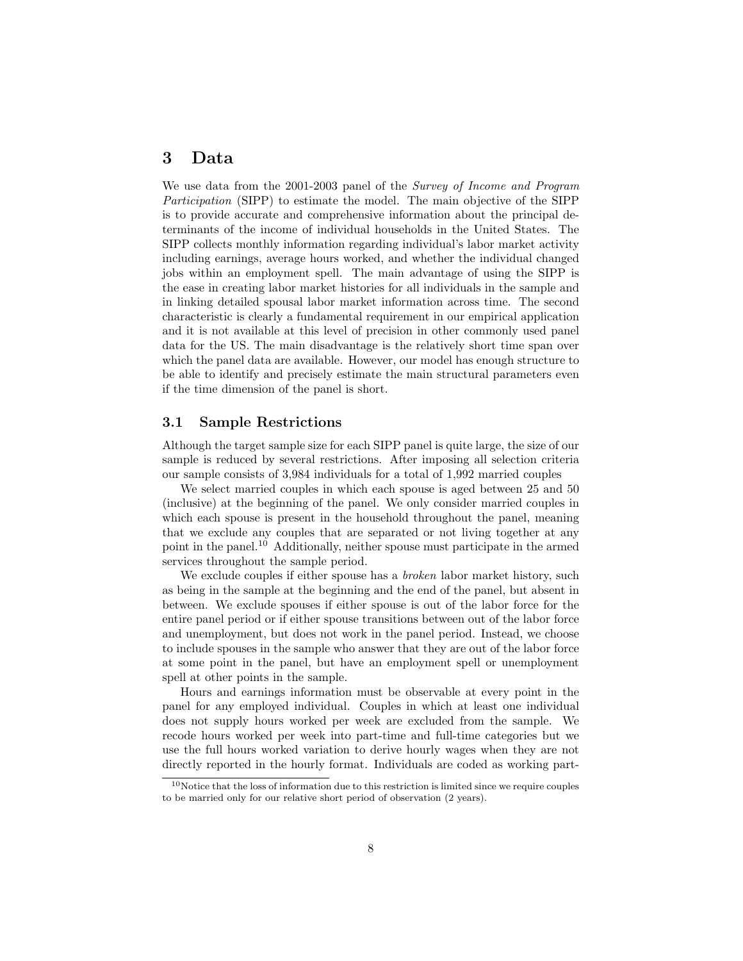## 3 Data

We use data from the 2001-2003 panel of the Survey of Income and Program Participation (SIPP) to estimate the model. The main objective of the SIPP is to provide accurate and comprehensive information about the principal determinants of the income of individual households in the United States. The SIPP collects monthly information regarding individual's labor market activity including earnings, average hours worked, and whether the individual changed jobs within an employment spell. The main advantage of using the SIPP is the ease in creating labor market histories for all individuals in the sample and in linking detailed spousal labor market information across time. The second characteristic is clearly a fundamental requirement in our empirical application and it is not available at this level of precision in other commonly used panel data for the US. The main disadvantage is the relatively short time span over which the panel data are available. However, our model has enough structure to be able to identify and precisely estimate the main structural parameters even if the time dimension of the panel is short.

#### 3.1 Sample Restrictions

Although the target sample size for each SIPP panel is quite large, the size of our sample is reduced by several restrictions. After imposing all selection criteria our sample consists of 3,984 individuals for a total of 1,992 married couples

We select married couples in which each spouse is aged between 25 and 50 (inclusive) at the beginning of the panel. We only consider married couples in which each spouse is present in the household throughout the panel, meaning that we exclude any couples that are separated or not living together at any point in the panel.<sup>10</sup> Additionally, neither spouse must participate in the armed services throughout the sample period.

We exclude couples if either spouse has a *broken* labor market history, such as being in the sample at the beginning and the end of the panel, but absent in between. We exclude spouses if either spouse is out of the labor force for the entire panel period or if either spouse transitions between out of the labor force and unemployment, but does not work in the panel period. Instead, we choose to include spouses in the sample who answer that they are out of the labor force at some point in the panel, but have an employment spell or unemployment spell at other points in the sample.

Hours and earnings information must be observable at every point in the panel for any employed individual. Couples in which at least one individual does not supply hours worked per week are excluded from the sample. We recode hours worked per week into part-time and full-time categories but we use the full hours worked variation to derive hourly wages when they are not directly reported in the hourly format. Individuals are coded as working part-

<sup>&</sup>lt;sup>10</sup>Notice that the loss of information due to this restriction is limited since we require couples to be married only for our relative short period of observation (2 years).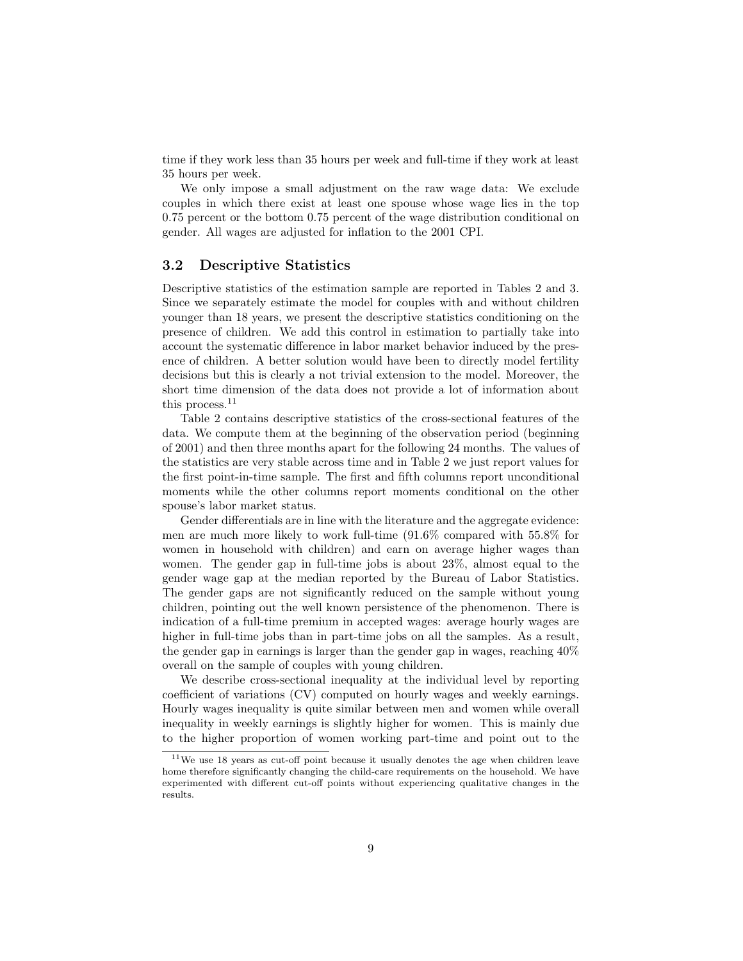time if they work less than 35 hours per week and full-time if they work at least 35 hours per week.

We only impose a small adjustment on the raw wage data: We exclude couples in which there exist at least one spouse whose wage lies in the top 0.75 percent or the bottom 0.75 percent of the wage distribution conditional on gender. All wages are adjusted for inflation to the 2001 CPI.

#### 3.2 Descriptive Statistics

Descriptive statistics of the estimation sample are reported in Tables 2 and 3. Since we separately estimate the model for couples with and without children younger than 18 years, we present the descriptive statistics conditioning on the presence of children. We add this control in estimation to partially take into account the systematic difference in labor market behavior induced by the presence of children. A better solution would have been to directly model fertility decisions but this is clearly a not trivial extension to the model. Moreover, the short time dimension of the data does not provide a lot of information about this process.<sup>11</sup>

Table 2 contains descriptive statistics of the cross-sectional features of the data. We compute them at the beginning of the observation period (beginning of 2001) and then three months apart for the following 24 months. The values of the statistics are very stable across time and in Table 2 we just report values for the first point-in-time sample. The first and fifth columns report unconditional moments while the other columns report moments conditional on the other spouse's labor market status.

Gender differentials are in line with the literature and the aggregate evidence: men are much more likely to work full-time (91.6% compared with 55.8% for women in household with children) and earn on average higher wages than women. The gender gap in full-time jobs is about 23%, almost equal to the gender wage gap at the median reported by the Bureau of Labor Statistics. The gender gaps are not significantly reduced on the sample without young children, pointing out the well known persistence of the phenomenon. There is indication of a full-time premium in accepted wages: average hourly wages are higher in full-time jobs than in part-time jobs on all the samples. As a result, the gender gap in earnings is larger than the gender gap in wages, reaching 40% overall on the sample of couples with young children.

We describe cross-sectional inequality at the individual level by reporting coefficient of variations (CV) computed on hourly wages and weekly earnings. Hourly wages inequality is quite similar between men and women while overall inequality in weekly earnings is slightly higher for women. This is mainly due to the higher proportion of women working part-time and point out to the

<sup>11</sup>We use 18 years as cut-off point because it usually denotes the age when children leave home therefore significantly changing the child-care requirements on the household. We have experimented with different cut-off points without experiencing qualitative changes in the results.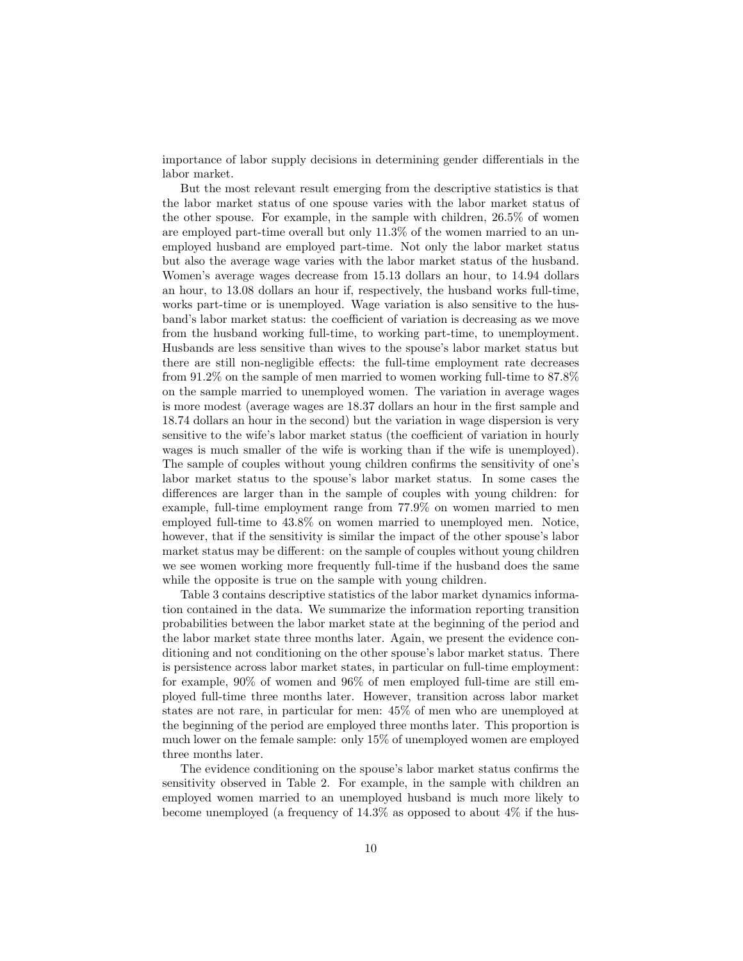importance of labor supply decisions in determining gender differentials in the labor market.

But the most relevant result emerging from the descriptive statistics is that the labor market status of one spouse varies with the labor market status of the other spouse. For example, in the sample with children, 26.5% of women are employed part-time overall but only 11.3% of the women married to an unemployed husband are employed part-time. Not only the labor market status but also the average wage varies with the labor market status of the husband. Women's average wages decrease from 15.13 dollars an hour, to 14.94 dollars an hour, to 13.08 dollars an hour if, respectively, the husband works full-time, works part-time or is unemployed. Wage variation is also sensitive to the husband's labor market status: the coefficient of variation is decreasing as we move from the husband working full-time, to working part-time, to unemployment. Husbands are less sensitive than wives to the spouse's labor market status but there are still non-negligible effects: the full-time employment rate decreases from 91.2% on the sample of men married to women working full-time to 87.8% on the sample married to unemployed women. The variation in average wages is more modest (average wages are 18.37 dollars an hour in the first sample and 18.74 dollars an hour in the second) but the variation in wage dispersion is very sensitive to the wife's labor market status (the coefficient of variation in hourly wages is much smaller of the wife is working than if the wife is unemployed). The sample of couples without young children confirms the sensitivity of one's labor market status to the spouse's labor market status. In some cases the differences are larger than in the sample of couples with young children: for example, full-time employment range from 77.9% on women married to men employed full-time to 43.8% on women married to unemployed men. Notice, however, that if the sensitivity is similar the impact of the other spouse's labor market status may be different: on the sample of couples without young children we see women working more frequently full-time if the husband does the same while the opposite is true on the sample with young children.

Table 3 contains descriptive statistics of the labor market dynamics information contained in the data. We summarize the information reporting transition probabilities between the labor market state at the beginning of the period and the labor market state three months later. Again, we present the evidence conditioning and not conditioning on the other spouse's labor market status. There is persistence across labor market states, in particular on full-time employment: for example, 90% of women and 96% of men employed full-time are still employed full-time three months later. However, transition across labor market states are not rare, in particular for men: 45% of men who are unemployed at the beginning of the period are employed three months later. This proportion is much lower on the female sample: only 15% of unemployed women are employed three months later.

The evidence conditioning on the spouse's labor market status confirms the sensitivity observed in Table 2. For example, in the sample with children an employed women married to an unemployed husband is much more likely to become unemployed (a frequency of  $14.3\%$  as opposed to about  $4\%$  if the hus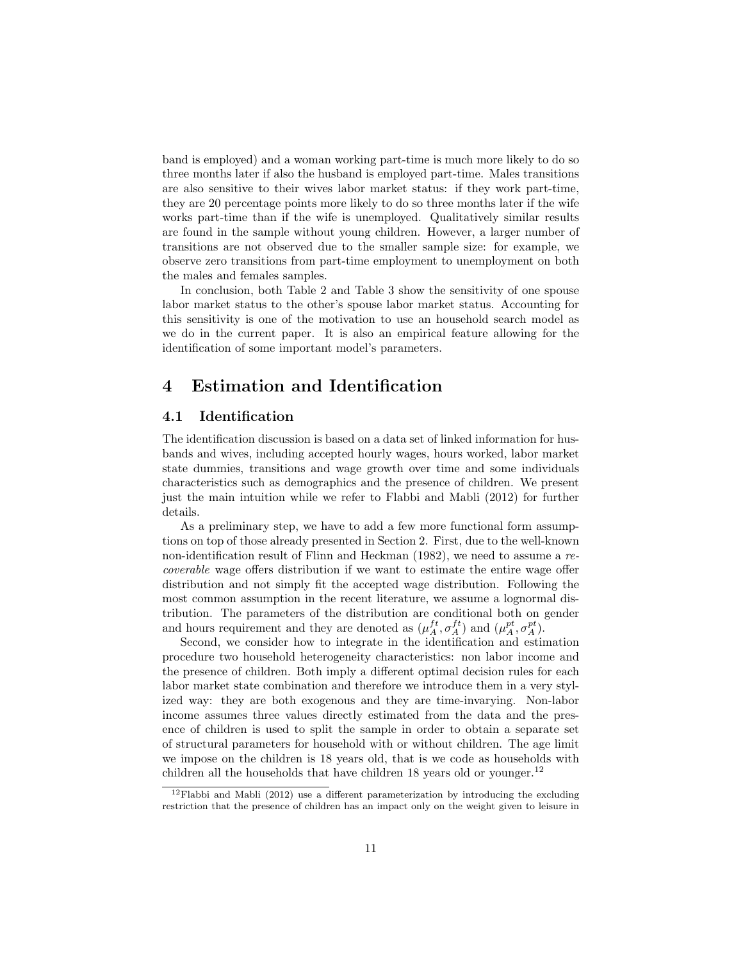band is employed) and a woman working part-time is much more likely to do so three months later if also the husband is employed part-time. Males transitions are also sensitive to their wives labor market status: if they work part-time, they are 20 percentage points more likely to do so three months later if the wife works part-time than if the wife is unemployed. Qualitatively similar results are found in the sample without young children. However, a larger number of transitions are not observed due to the smaller sample size: for example, we observe zero transitions from part-time employment to unemployment on both the males and females samples.

In conclusion, both Table 2 and Table 3 show the sensitivity of one spouse labor market status to the other's spouse labor market status. Accounting for this sensitivity is one of the motivation to use an household search model as we do in the current paper. It is also an empirical feature allowing for the identification of some important model's parameters.

# 4 Estimation and Identification

#### 4.1 Identification

The identification discussion is based on a data set of linked information for husbands and wives, including accepted hourly wages, hours worked, labor market state dummies, transitions and wage growth over time and some individuals characteristics such as demographics and the presence of children. We present just the main intuition while we refer to Flabbi and Mabli (2012) for further details.

As a preliminary step, we have to add a few more functional form assumptions on top of those already presented in Section 2. First, due to the well-known non-identification result of Flinn and Heckman (1982), we need to assume a recoverable wage offers distribution if we want to estimate the entire wage offer distribution and not simply fit the accepted wage distribution. Following the most common assumption in the recent literature, we assume a lognormal distribution. The parameters of the distribution are conditional both on gender and hours requirement and they are denoted as  $(\mu_A^{ft}, \sigma_A^{ft})$  and  $(\mu_A^{pt}, \sigma_A^{pt})$ .

Second, we consider how to integrate in the identification and estimation procedure two household heterogeneity characteristics: non labor income and the presence of children. Both imply a different optimal decision rules for each labor market state combination and therefore we introduce them in a very stylized way: they are both exogenous and they are time-invarying. Non-labor income assumes three values directly estimated from the data and the presence of children is used to split the sample in order to obtain a separate set of structural parameters for household with or without children. The age limit we impose on the children is 18 years old, that is we code as households with children all the households that have children 18 years old or younger.<sup>12</sup>

 $12$ Flabbi and Mabli (2012) use a different parameterization by introducing the excluding restriction that the presence of children has an impact only on the weight given to leisure in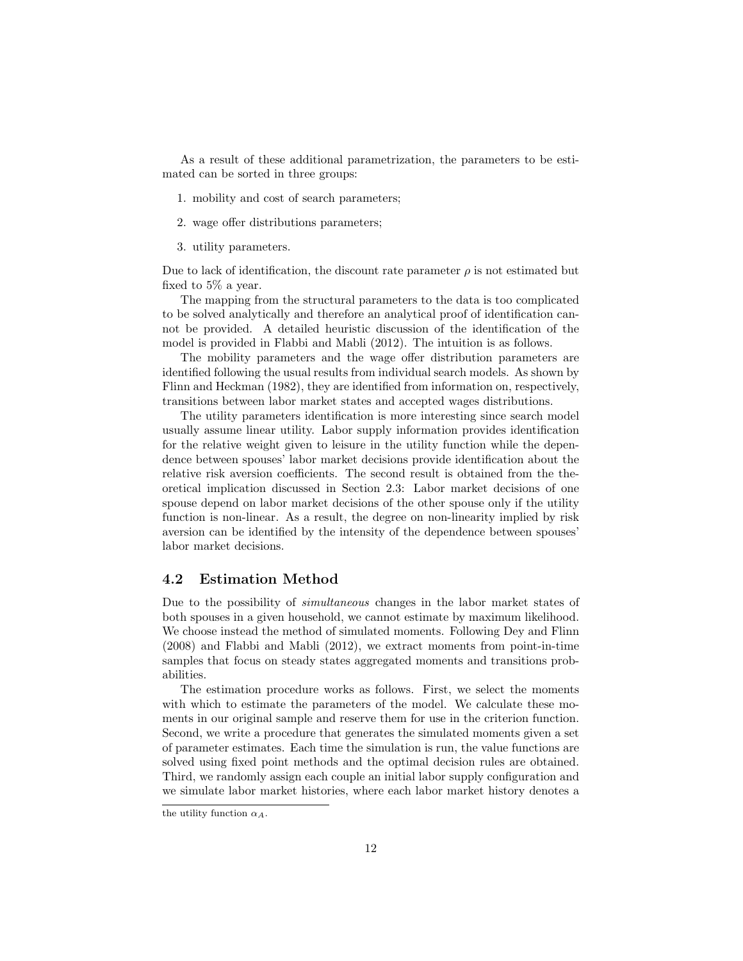As a result of these additional parametrization, the parameters to be estimated can be sorted in three groups:

- 1. mobility and cost of search parameters;
- 2. wage offer distributions parameters;
- 3. utility parameters.

Due to lack of identification, the discount rate parameter  $\rho$  is not estimated but fixed to 5% a year.

The mapping from the structural parameters to the data is too complicated to be solved analytically and therefore an analytical proof of identification cannot be provided. A detailed heuristic discussion of the identification of the model is provided in Flabbi and Mabli (2012). The intuition is as follows.

The mobility parameters and the wage offer distribution parameters are identified following the usual results from individual search models. As shown by Flinn and Heckman (1982), they are identified from information on, respectively, transitions between labor market states and accepted wages distributions.

The utility parameters identification is more interesting since search model usually assume linear utility. Labor supply information provides identification for the relative weight given to leisure in the utility function while the dependence between spouses' labor market decisions provide identification about the relative risk aversion coefficients. The second result is obtained from the theoretical implication discussed in Section 2.3: Labor market decisions of one spouse depend on labor market decisions of the other spouse only if the utility function is non-linear. As a result, the degree on non-linearity implied by risk aversion can be identified by the intensity of the dependence between spouses' labor market decisions.

## 4.2 Estimation Method

Due to the possibility of simultaneous changes in the labor market states of both spouses in a given household, we cannot estimate by maximum likelihood. We choose instead the method of simulated moments. Following Dey and Flinn (2008) and Flabbi and Mabli (2012), we extract moments from point-in-time samples that focus on steady states aggregated moments and transitions probabilities.

The estimation procedure works as follows. First, we select the moments with which to estimate the parameters of the model. We calculate these moments in our original sample and reserve them for use in the criterion function. Second, we write a procedure that generates the simulated moments given a set of parameter estimates. Each time the simulation is run, the value functions are solved using fixed point methods and the optimal decision rules are obtained. Third, we randomly assign each couple an initial labor supply configuration and we simulate labor market histories, where each labor market history denotes a

the utility function  $\alpha_A$ .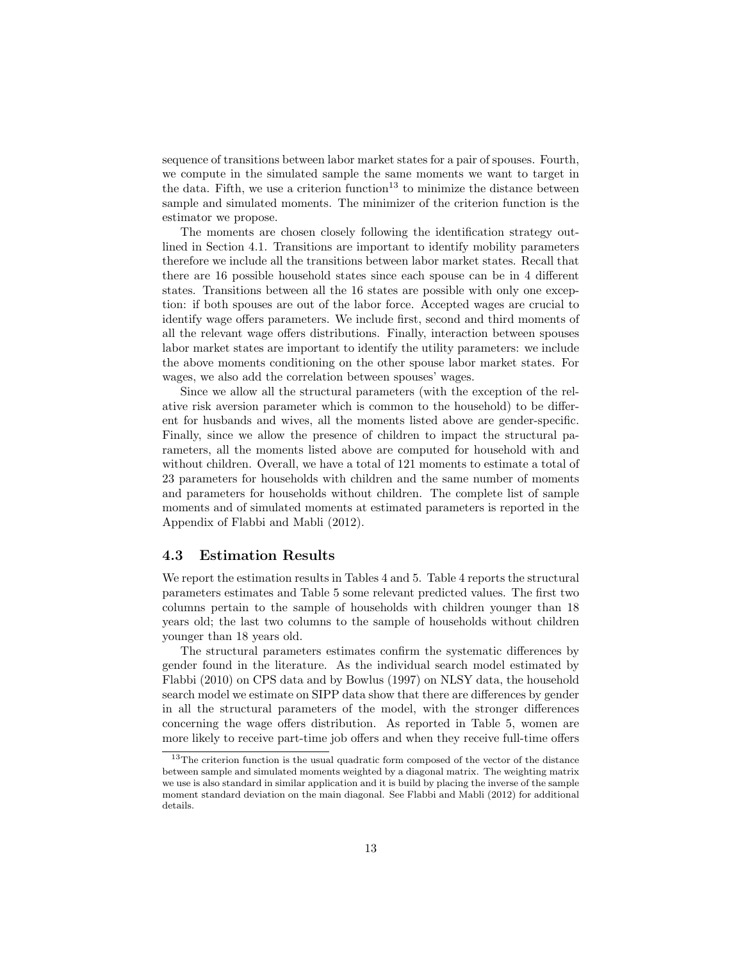sequence of transitions between labor market states for a pair of spouses. Fourth, we compute in the simulated sample the same moments we want to target in the data. Fifth, we use a criterion function<sup>13</sup> to minimize the distance between sample and simulated moments. The minimizer of the criterion function is the estimator we propose.

The moments are chosen closely following the identification strategy outlined in Section 4.1. Transitions are important to identify mobility parameters therefore we include all the transitions between labor market states. Recall that there are 16 possible household states since each spouse can be in 4 different states. Transitions between all the 16 states are possible with only one exception: if both spouses are out of the labor force. Accepted wages are crucial to identify wage offers parameters. We include first, second and third moments of all the relevant wage offers distributions. Finally, interaction between spouses labor market states are important to identify the utility parameters: we include the above moments conditioning on the other spouse labor market states. For wages, we also add the correlation between spouses' wages.

Since we allow all the structural parameters (with the exception of the relative risk aversion parameter which is common to the household) to be different for husbands and wives, all the moments listed above are gender-specific. Finally, since we allow the presence of children to impact the structural parameters, all the moments listed above are computed for household with and without children. Overall, we have a total of 121 moments to estimate a total of 23 parameters for households with children and the same number of moments and parameters for households without children. The complete list of sample moments and of simulated moments at estimated parameters is reported in the Appendix of Flabbi and Mabli (2012).

#### 4.3 Estimation Results

We report the estimation results in Tables 4 and 5. Table 4 reports the structural parameters estimates and Table 5 some relevant predicted values. The first two columns pertain to the sample of households with children younger than 18 years old; the last two columns to the sample of households without children younger than 18 years old.

The structural parameters estimates confirm the systematic differences by gender found in the literature. As the individual search model estimated by Flabbi (2010) on CPS data and by Bowlus (1997) on NLSY data, the household search model we estimate on SIPP data show that there are differences by gender in all the structural parameters of the model, with the stronger differences concerning the wage offers distribution. As reported in Table 5, women are more likely to receive part-time job offers and when they receive full-time offers

<sup>&</sup>lt;sup>13</sup>The criterion function is the usual quadratic form composed of the vector of the distance between sample and simulated moments weighted by a diagonal matrix. The weighting matrix we use is also standard in similar application and it is build by placing the inverse of the sample moment standard deviation on the main diagonal. See Flabbi and Mabli (2012) for additional details.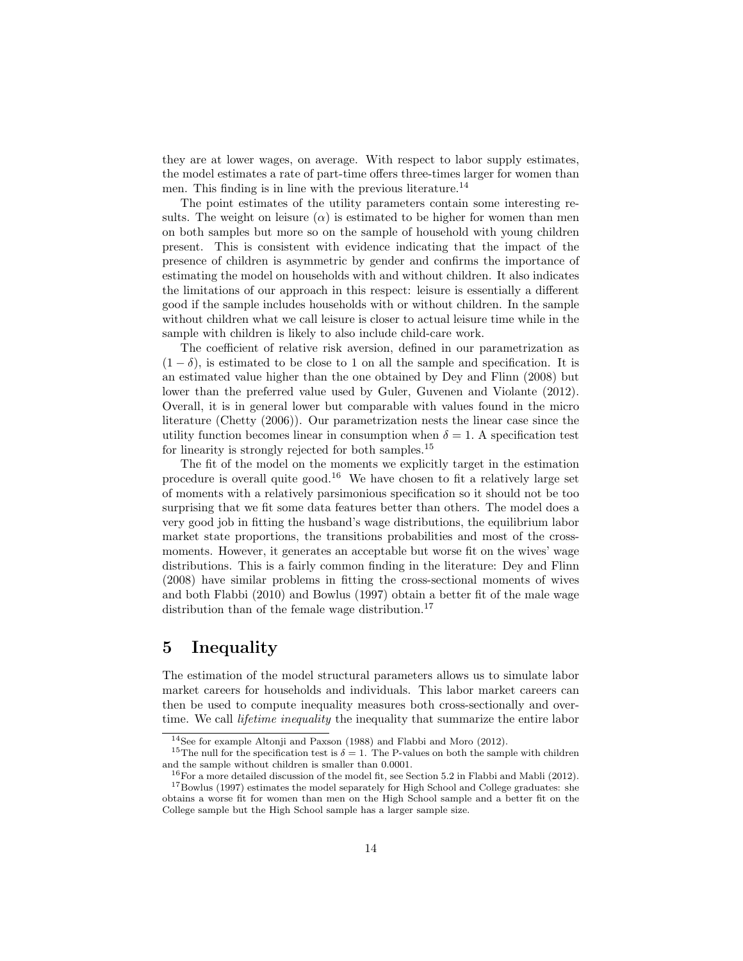they are at lower wages, on average. With respect to labor supply estimates, the model estimates a rate of part-time offers three-times larger for women than men. This finding is in line with the previous literature.<sup>14</sup>

The point estimates of the utility parameters contain some interesting results. The weight on leisure  $(\alpha)$  is estimated to be higher for women than men on both samples but more so on the sample of household with young children present. This is consistent with evidence indicating that the impact of the presence of children is asymmetric by gender and confirms the importance of estimating the model on households with and without children. It also indicates the limitations of our approach in this respect: leisure is essentially a different good if the sample includes households with or without children. In the sample without children what we call leisure is closer to actual leisure time while in the sample with children is likely to also include child-care work.

The coefficient of relative risk aversion, defined in our parametrization as  $(1 - \delta)$ , is estimated to be close to 1 on all the sample and specification. It is an estimated value higher than the one obtained by Dey and Flinn (2008) but lower than the preferred value used by Guler, Guvenen and Violante (2012). Overall, it is in general lower but comparable with values found in the micro literature (Chetty (2006)). Our parametrization nests the linear case since the utility function becomes linear in consumption when  $\delta = 1$ . A specification test for linearity is strongly rejected for both samples.<sup>15</sup>

The fit of the model on the moments we explicitly target in the estimation procedure is overall quite good.<sup>16</sup> We have chosen to fit a relatively large set of moments with a relatively parsimonious specification so it should not be too surprising that we fit some data features better than others. The model does a very good job in fitting the husband's wage distributions, the equilibrium labor market state proportions, the transitions probabilities and most of the crossmoments. However, it generates an acceptable but worse fit on the wives' wage distributions. This is a fairly common finding in the literature: Dey and Flinn (2008) have similar problems in fitting the cross-sectional moments of wives and both Flabbi (2010) and Bowlus (1997) obtain a better fit of the male wage distribution than of the female wage distribution.<sup>17</sup>

# 5 Inequality

The estimation of the model structural parameters allows us to simulate labor market careers for households and individuals. This labor market careers can then be used to compute inequality measures both cross-sectionally and overtime. We call *lifetime inequality* the inequality that summarize the entire labor

<sup>14</sup>See for example Altonji and Paxson (1988) and Flabbi and Moro (2012).

<sup>&</sup>lt;sup>15</sup>The null for the specification test is  $\delta = 1$ . The P-values on both the sample with children and the sample without children is smaller than 0.0001.

<sup>16</sup>For a more detailed discussion of the model fit, see Section 5.2 in Flabbi and Mabli (2012).

<sup>17</sup>Bowlus (1997) estimates the model separately for High School and College graduates: she obtains a worse fit for women than men on the High School sample and a better fit on the College sample but the High School sample has a larger sample size.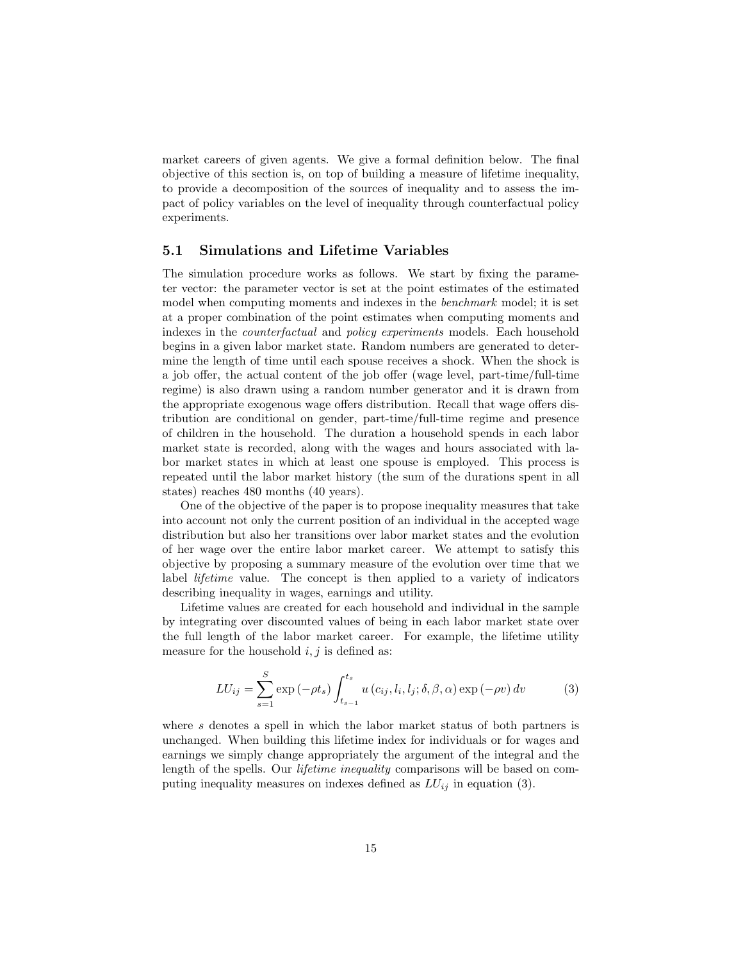market careers of given agents. We give a formal definition below. The final objective of this section is, on top of building a measure of lifetime inequality, to provide a decomposition of the sources of inequality and to assess the impact of policy variables on the level of inequality through counterfactual policy experiments.

#### 5.1 Simulations and Lifetime Variables

The simulation procedure works as follows. We start by fixing the parameter vector: the parameter vector is set at the point estimates of the estimated model when computing moments and indexes in the benchmark model; it is set at a proper combination of the point estimates when computing moments and indexes in the counterfactual and policy experiments models. Each household begins in a given labor market state. Random numbers are generated to determine the length of time until each spouse receives a shock. When the shock is a job offer, the actual content of the job offer (wage level, part-time/full-time regime) is also drawn using a random number generator and it is drawn from the appropriate exogenous wage offers distribution. Recall that wage offers distribution are conditional on gender, part-time/full-time regime and presence of children in the household. The duration a household spends in each labor market state is recorded, along with the wages and hours associated with labor market states in which at least one spouse is employed. This process is repeated until the labor market history (the sum of the durations spent in all states) reaches 480 months (40 years).

One of the objective of the paper is to propose inequality measures that take into account not only the current position of an individual in the accepted wage distribution but also her transitions over labor market states and the evolution of her wage over the entire labor market career. We attempt to satisfy this objective by proposing a summary measure of the evolution over time that we label lifetime value. The concept is then applied to a variety of indicators describing inequality in wages, earnings and utility.

Lifetime values are created for each household and individual in the sample by integrating over discounted values of being in each labor market state over the full length of the labor market career. For example, the lifetime utility measure for the household  $i, j$  is defined as:

$$
LU_{ij} = \sum_{s=1}^{S} \exp(-\rho t_s) \int_{t_{s-1}}^{t_s} u(c_{ij}, l_i, l_j; \delta, \beta, \alpha) \exp(-\rho v) dv \qquad (3)
$$

where s denotes a spell in which the labor market status of both partners is unchanged. When building this lifetime index for individuals or for wages and earnings we simply change appropriately the argument of the integral and the length of the spells. Our *lifetime inequality* comparisons will be based on computing inequality measures on indexes defined as  $LU_{ij}$  in equation (3).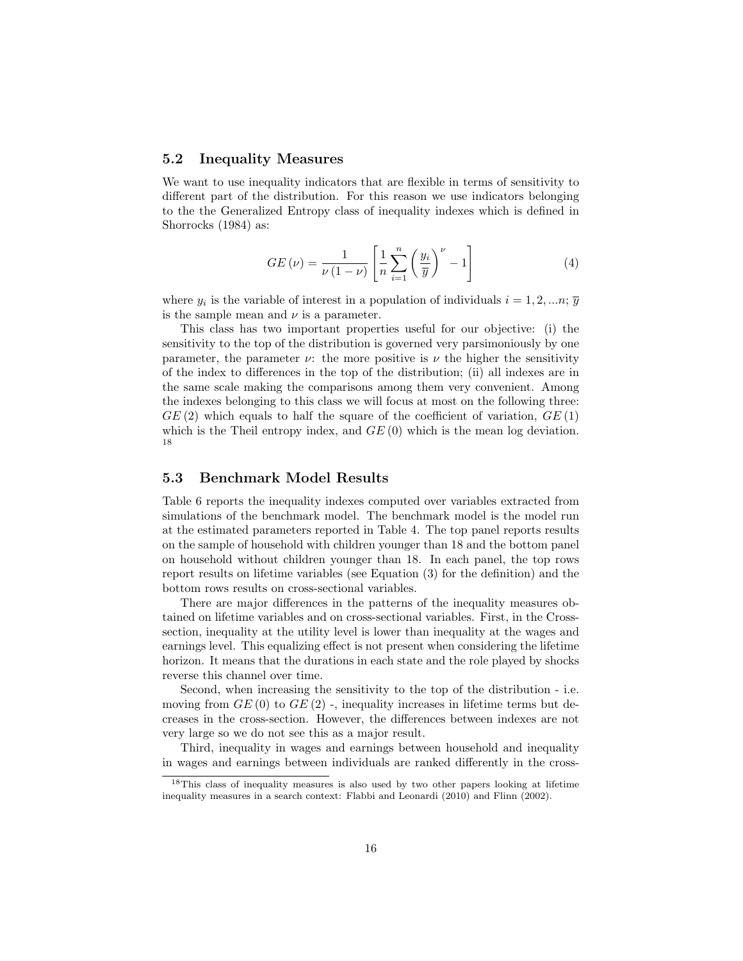#### 5.2 Inequality Measures

We want to use inequality indicators that are flexible in terms of sensitivity to different part of the distribution. For this reason we use indicators belonging to the the Generalized Entropy class of inequality indexes which is defined in Shorrocks (1984) as:

$$
GE\left(\nu\right) = \frac{1}{\nu\left(1-\nu\right)} \left[\frac{1}{n} \sum_{i=1}^{n} \left(\frac{y_i}{\overline{y}}\right)^{\nu} - 1\right]
$$
\n<sup>(4)</sup>

where  $y_i$  is the variable of interest in a population of individuals  $i = 1, 2, ..., n$ ;  $\overline{y}$ is the sample mean and  $\nu$  is a parameter.

This class has two important properties useful for our objective: (i) the sensitivity to the top of the distribution is governed very parsimoniously by one parameter, the parameter  $\nu$ : the more positive is  $\nu$  the higher the sensitivity of the index to differences in the top of the distribution; (ii) all indexes are in the same scale making the comparisons among them very convenient. Among the indexes belonging to this class we will focus at most on the following three:  $GE(2)$  which equals to half the square of the coefficient of variation,  $GE(1)$ which is the Theil entropy index, and  $GE(0)$  which is the mean log deviation. 18

#### 5.3 Benchmark Model Results

Table 6 reports the inequality indexes computed over variables extracted from simulations of the benchmark model. The benchmark model is the model run at the estimated parameters reported in Table 4. The top panel reports results on the sample of household with children younger than 18 and the bottom panel on household without children younger than 18. In each panel, the top rows report results on lifetime variables (see Equation (3) for the definition) and the bottom rows results on cross-sectional variables.

There are major differences in the patterns of the inequality measures obtained on lifetime variables and on cross-sectional variables. First, in the Crosssection, inequality at the utility level is lower than inequality at the wages and earnings level. This equalizing effect is not present when considering the lifetime horizon. It means that the durations in each state and the role played by shocks reverse this channel over time.

Second, when increasing the sensitivity to the top of the distribution - i.e. moving from  $GE(0)$  to  $GE(2)$ . inequality increases in lifetime terms but decreases in the cross-section. However, the differences between indexes are not very large so we do not see this as a major result.

Third, inequality in wages and earnings between household and inequality in wages and earnings between individuals are ranked differently in the cross-

<sup>18</sup>This class of inequality measures is also used by two other papers looking at lifetime inequality measures in a search context: Flabbi and Leonardi (2010) and Flinn (2002).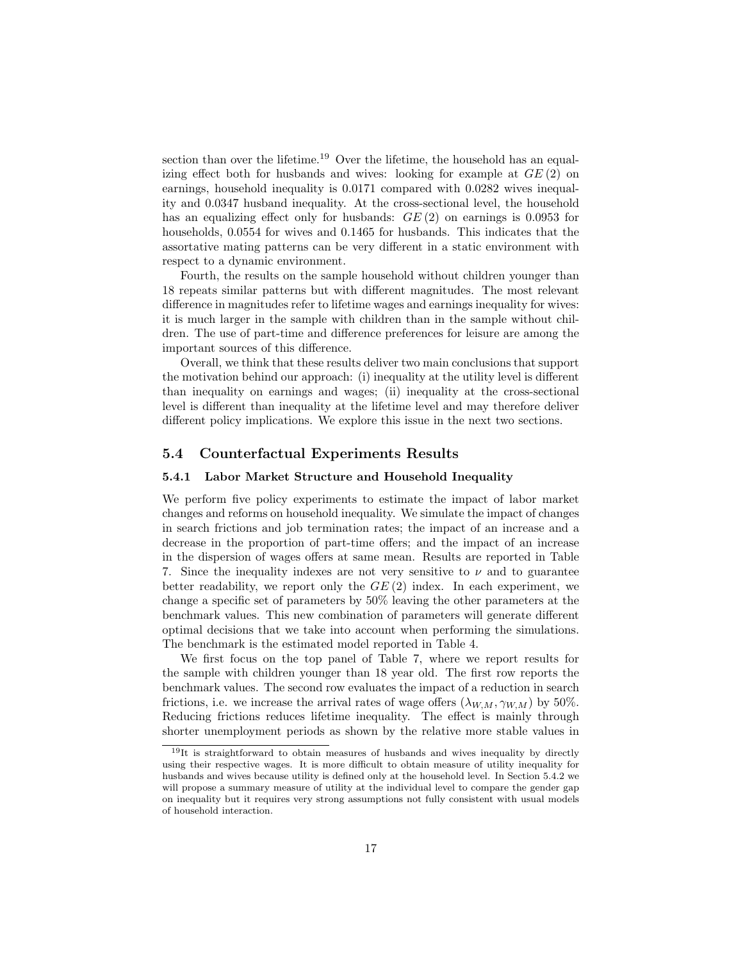section than over the lifetime.<sup>19</sup> Over the lifetime, the household has an equalizing effect both for husbands and wives: looking for example at  $GE(2)$  on earnings, household inequality is 0.0171 compared with 0.0282 wives inequality and 0.0347 husband inequality. At the cross-sectional level, the household has an equalizing effect only for husbands:  $GE(2)$  on earnings is 0.0953 for households, 0.0554 for wives and 0.1465 for husbands. This indicates that the assortative mating patterns can be very different in a static environment with respect to a dynamic environment.

Fourth, the results on the sample household without children younger than 18 repeats similar patterns but with different magnitudes. The most relevant difference in magnitudes refer to lifetime wages and earnings inequality for wives: it is much larger in the sample with children than in the sample without children. The use of part-time and difference preferences for leisure are among the important sources of this difference.

Overall, we think that these results deliver two main conclusions that support the motivation behind our approach: (i) inequality at the utility level is different than inequality on earnings and wages; (ii) inequality at the cross-sectional level is different than inequality at the lifetime level and may therefore deliver different policy implications. We explore this issue in the next two sections.

#### 5.4 Counterfactual Experiments Results

#### 5.4.1 Labor Market Structure and Household Inequality

We perform five policy experiments to estimate the impact of labor market changes and reforms on household inequality. We simulate the impact of changes in search frictions and job termination rates; the impact of an increase and a decrease in the proportion of part-time offers; and the impact of an increase in the dispersion of wages offers at same mean. Results are reported in Table 7. Since the inequality indexes are not very sensitive to  $\nu$  and to guarantee better readability, we report only the  $GE(2)$  index. In each experiment, we change a specific set of parameters by 50% leaving the other parameters at the benchmark values. This new combination of parameters will generate different optimal decisions that we take into account when performing the simulations. The benchmark is the estimated model reported in Table 4.

We first focus on the top panel of Table 7, where we report results for the sample with children younger than 18 year old. The first row reports the benchmark values. The second row evaluates the impact of a reduction in search frictions, i.e. we increase the arrival rates of wage offers  $(\lambda_{W,M}, \gamma_{W,M})$  by 50%. Reducing frictions reduces lifetime inequality. The effect is mainly through shorter unemployment periods as shown by the relative more stable values in

<sup>&</sup>lt;sup>19</sup>It is straightforward to obtain measures of husbands and wives inequality by directly using their respective wages. It is more difficult to obtain measure of utility inequality for husbands and wives because utility is defined only at the household level. In Section 5.4.2 we will propose a summary measure of utility at the individual level to compare the gender gap on inequality but it requires very strong assumptions not fully consistent with usual models of household interaction.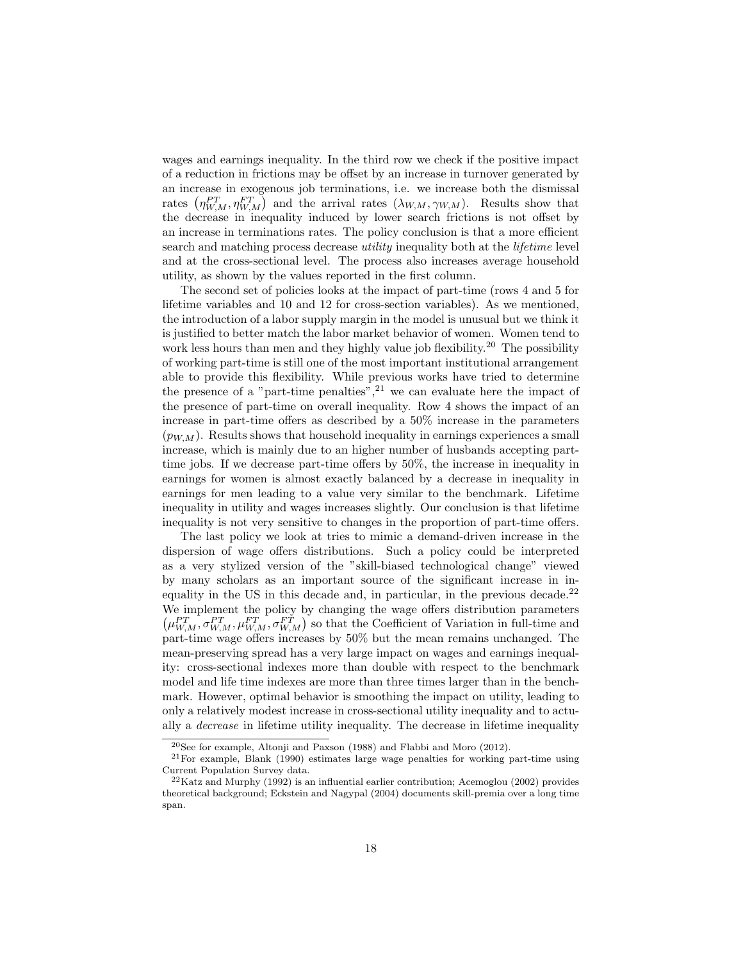wages and earnings inequality. In the third row we check if the positive impact of a reduction in frictions may be offset by an increase in turnover generated by an increase in exogenous job terminations, i.e. we increase both the dismissal rates  $(\eta_{W,M}^{PT}, \eta_{W,M}^{FT})$  and the arrival rates  $(\lambda_{W,M}, \gamma_{W,M})$ . Results show that the decrease in inequality induced by lower search frictions is not offset by an increase in terminations rates. The policy conclusion is that a more efficient search and matching process decrease *utility* inequality both at the *lifetime* level and at the cross-sectional level. The process also increases average household utility, as shown by the values reported in the first column.

The second set of policies looks at the impact of part-time (rows 4 and 5 for lifetime variables and 10 and 12 for cross-section variables). As we mentioned, the introduction of a labor supply margin in the model is unusual but we think it is justified to better match the labor market behavior of women. Women tend to work less hours than men and they highly value job flexibility.<sup>20</sup> The possibility of working part-time is still one of the most important institutional arrangement able to provide this flexibility. While previous works have tried to determine the presence of a "part-time penalties",  $2^1$  we can evaluate here the impact of the presence of part-time on overall inequality. Row 4 shows the impact of an increase in part-time offers as described by a 50% increase in the parameters  $(p_{WM})$ . Results shows that household inequality in earnings experiences a small increase, which is mainly due to an higher number of husbands accepting parttime jobs. If we decrease part-time offers by 50%, the increase in inequality in earnings for women is almost exactly balanced by a decrease in inequality in earnings for men leading to a value very similar to the benchmark. Lifetime inequality in utility and wages increases slightly. Our conclusion is that lifetime inequality is not very sensitive to changes in the proportion of part-time offers.

The last policy we look at tries to mimic a demand-driven increase in the dispersion of wage offers distributions. Such a policy could be interpreted as a very stylized version of the "skill-biased technological change" viewed by many scholars as an important source of the significant increase in inequality in the US in this decade and, in particular, in the previous decade.<sup>22</sup> We implement the policy by changing the wage offers distribution parameters  $(\mu_{W,M}^{PT}, \sigma_{W,M}^{PT}, \mu_{W,M}^{FT}, \sigma_{W,M}^{FT})$  so that the Coefficient of Variation in full-time and part-time wage offers increases by 50% but the mean remains unchanged. The mean-preserving spread has a very large impact on wages and earnings inequality: cross-sectional indexes more than double with respect to the benchmark model and life time indexes are more than three times larger than in the benchmark. However, optimal behavior is smoothing the impact on utility, leading to only a relatively modest increase in cross-sectional utility inequality and to actually a decrease in lifetime utility inequality. The decrease in lifetime inequality

 $20$ See for example, Altonji and Paxson (1988) and Flabbi and Moro (2012).

<sup>21</sup>For example, Blank (1990) estimates large wage penalties for working part-time using Current Population Survey data.

 $22$ Katz and Murphy (1992) is an influential earlier contribution; Acemoglou (2002) provides theoretical background; Eckstein and Nagypal (2004) documents skill-premia over a long time span.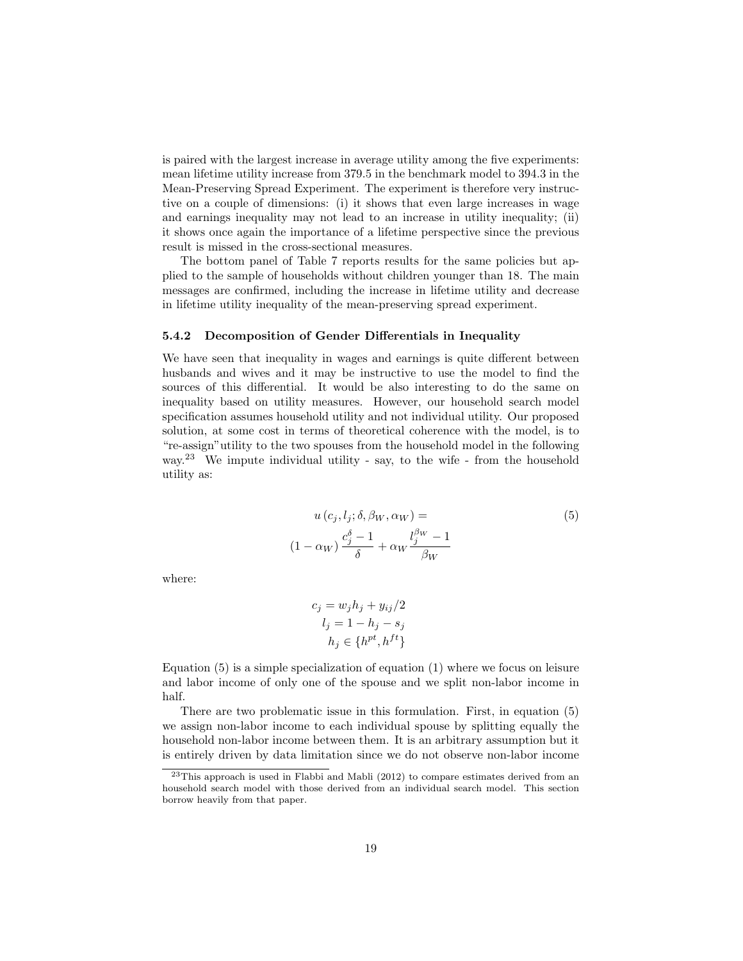is paired with the largest increase in average utility among the five experiments: mean lifetime utility increase from 379.5 in the benchmark model to 394.3 in the Mean-Preserving Spread Experiment. The experiment is therefore very instructive on a couple of dimensions: (i) it shows that even large increases in wage and earnings inequality may not lead to an increase in utility inequality; (ii) it shows once again the importance of a lifetime perspective since the previous result is missed in the cross-sectional measures.

The bottom panel of Table 7 reports results for the same policies but applied to the sample of households without children younger than 18. The main messages are confirmed, including the increase in lifetime utility and decrease in lifetime utility inequality of the mean-preserving spread experiment.

#### 5.4.2 Decomposition of Gender Differentials in Inequality

We have seen that inequality in wages and earnings is quite different between husbands and wives and it may be instructive to use the model to find the sources of this differential. It would be also interesting to do the same on inequality based on utility measures. However, our household search model specification assumes household utility and not individual utility. Our proposed solution, at some cost in terms of theoretical coherence with the model, is to "re-assign"utility to the two spouses from the household model in the following way.<sup>23</sup> We impute individual utility - say, to the wife - from the household utility as:

$$
u(c_j, l_j; \delta, \beta_W, \alpha_W) =
$$
  

$$
(1 - \alpha_W) \frac{c_j^{\delta} - 1}{\delta} + \alpha_W \frac{l_j^{\beta_W} - 1}{\beta_W}
$$
 (5)

where:

$$
c_j = w_j h_j + y_{ij}/2
$$

$$
l_j = 1 - h_j - s_j
$$

$$
h_j \in \{h^{pt}, h^{ft}\}
$$

Equation (5) is a simple specialization of equation (1) where we focus on leisure and labor income of only one of the spouse and we split non-labor income in half.

There are two problematic issue in this formulation. First, in equation (5) we assign non-labor income to each individual spouse by splitting equally the household non-labor income between them. It is an arbitrary assumption but it is entirely driven by data limitation since we do not observe non-labor income

 $^{23}$ This approach is used in Flabbi and Mabli (2012) to compare estimates derived from an household search model with those derived from an individual search model. This section borrow heavily from that paper.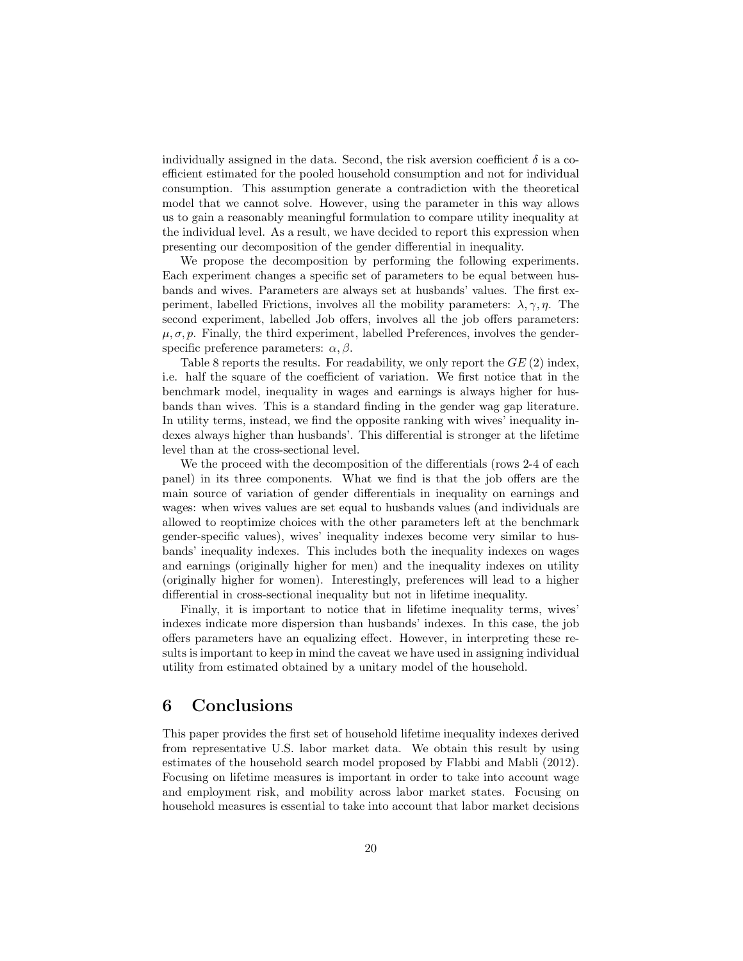individually assigned in the data. Second, the risk aversion coefficient  $\delta$  is a coefficient estimated for the pooled household consumption and not for individual consumption. This assumption generate a contradiction with the theoretical model that we cannot solve. However, using the parameter in this way allows us to gain a reasonably meaningful formulation to compare utility inequality at the individual level. As a result, we have decided to report this expression when presenting our decomposition of the gender differential in inequality.

We propose the decomposition by performing the following experiments. Each experiment changes a specific set of parameters to be equal between husbands and wives. Parameters are always set at husbands' values. The first experiment, labelled Frictions, involves all the mobility parameters:  $\lambda, \gamma, \eta$ . The second experiment, labelled Job offers, involves all the job offers parameters:  $\mu$ ,  $\sigma$ ,  $p$ . Finally, the third experiment, labelled Preferences, involves the genderspecific preference parameters:  $\alpha$ ,  $\beta$ .

Table 8 reports the results. For readability, we only report the  $GE(2)$  index, i.e. half the square of the coefficient of variation. We first notice that in the benchmark model, inequality in wages and earnings is always higher for husbands than wives. This is a standard finding in the gender wag gap literature. In utility terms, instead, we find the opposite ranking with wives' inequality indexes always higher than husbands'. This differential is stronger at the lifetime level than at the cross-sectional level.

We the proceed with the decomposition of the differentials (rows 2-4 of each panel) in its three components. What we find is that the job offers are the main source of variation of gender differentials in inequality on earnings and wages: when wives values are set equal to husbands values (and individuals are allowed to reoptimize choices with the other parameters left at the benchmark gender-specific values), wives' inequality indexes become very similar to husbands' inequality indexes. This includes both the inequality indexes on wages and earnings (originally higher for men) and the inequality indexes on utility (originally higher for women). Interestingly, preferences will lead to a higher differential in cross-sectional inequality but not in lifetime inequality.

Finally, it is important to notice that in lifetime inequality terms, wives' indexes indicate more dispersion than husbands' indexes. In this case, the job offers parameters have an equalizing effect. However, in interpreting these results is important to keep in mind the caveat we have used in assigning individual utility from estimated obtained by a unitary model of the household.

## 6 Conclusions

This paper provides the first set of household lifetime inequality indexes derived from representative U.S. labor market data. We obtain this result by using estimates of the household search model proposed by Flabbi and Mabli (2012). Focusing on lifetime measures is important in order to take into account wage and employment risk, and mobility across labor market states. Focusing on household measures is essential to take into account that labor market decisions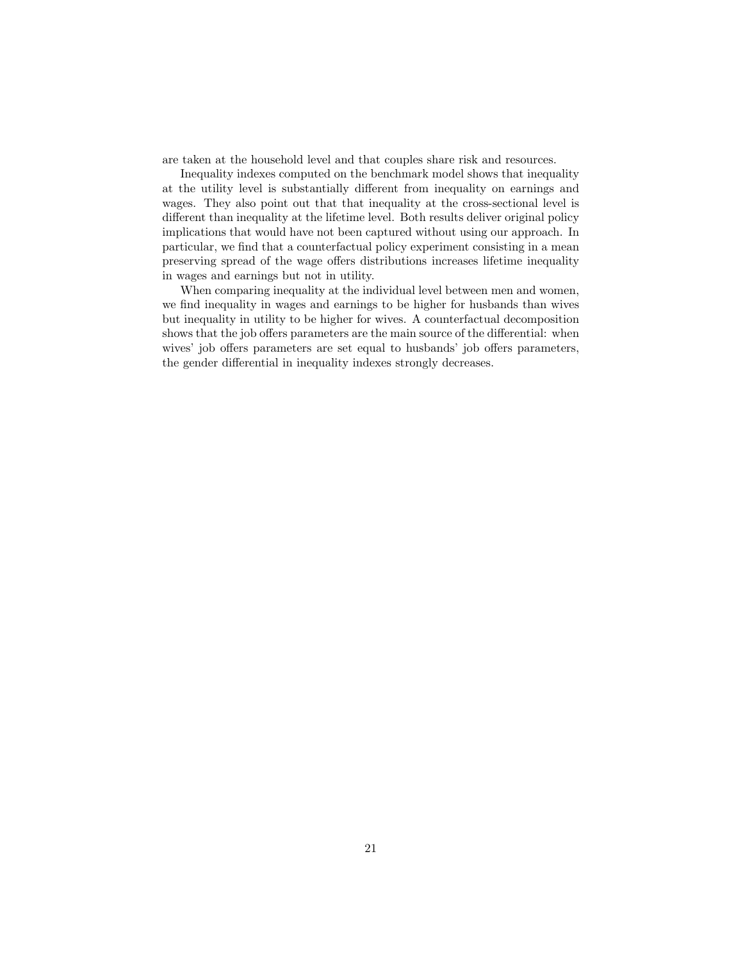are taken at the household level and that couples share risk and resources.

Inequality indexes computed on the benchmark model shows that inequality at the utility level is substantially different from inequality on earnings and wages. They also point out that that inequality at the cross-sectional level is different than inequality at the lifetime level. Both results deliver original policy implications that would have not been captured without using our approach. In particular, we find that a counterfactual policy experiment consisting in a mean preserving spread of the wage offers distributions increases lifetime inequality in wages and earnings but not in utility.

When comparing inequality at the individual level between men and women, we find inequality in wages and earnings to be higher for husbands than wives but inequality in utility to be higher for wives. A counterfactual decomposition shows that the job offers parameters are the main source of the differential: when wives' job offers parameters are set equal to husbands' job offers parameters, the gender differential in inequality indexes strongly decreases.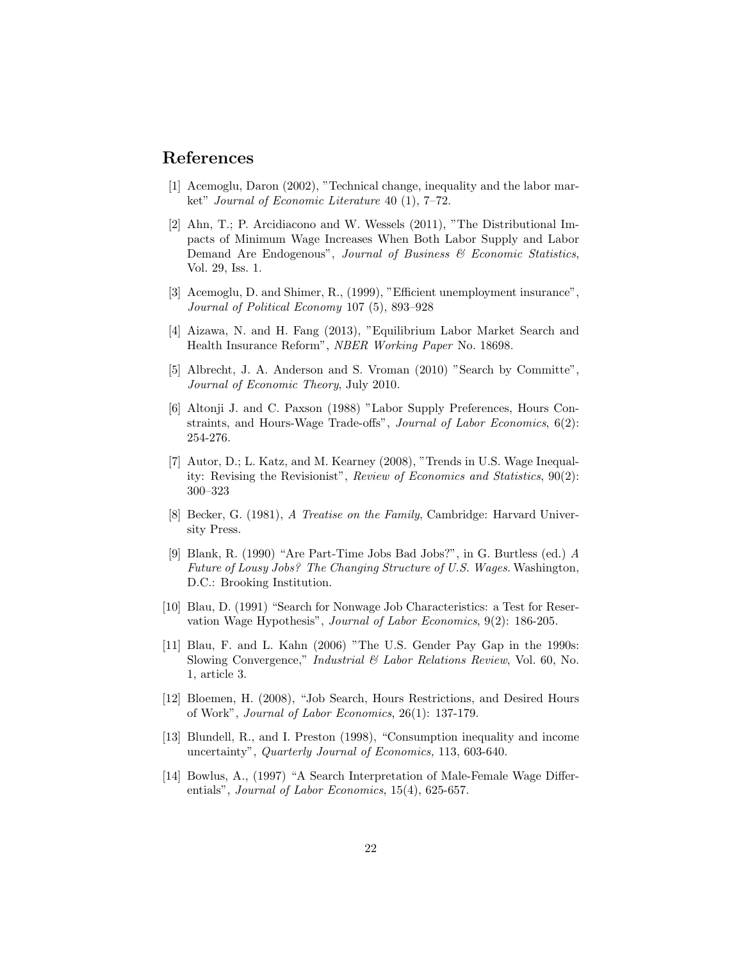## References

- [1] Acemoglu, Daron (2002), "Technical change, inequality and the labor market" Journal of Economic Literature 40 (1), 7–72.
- [2] Ahn, T.; P. Arcidiacono and W. Wessels (2011), "The Distributional Impacts of Minimum Wage Increases When Both Labor Supply and Labor Demand Are Endogenous", Journal of Business & Economic Statistics, Vol. 29, Iss. 1.
- [3] Acemoglu, D. and Shimer, R., (1999), "Efficient unemployment insurance", Journal of Political Economy 107 (5), 893–928
- [4] Aizawa, N. and H. Fang (2013), "Equilibrium Labor Market Search and Health Insurance Reform", NBER Working Paper No. 18698.
- [5] Albrecht, J. A. Anderson and S. Vroman (2010) "Search by Committe", Journal of Economic Theory, July 2010.
- [6] Altonji J. and C. Paxson (1988) "Labor Supply Preferences, Hours Constraints, and Hours-Wage Trade-offs", Journal of Labor Economics, 6(2): 254-276.
- [7] Autor, D.; L. Katz, and M. Kearney (2008), "Trends in U.S. Wage Inequality: Revising the Revisionist", Review of Economics and Statistics, 90(2): 300–323
- [8] Becker, G. (1981), A Treatise on the Family, Cambridge: Harvard University Press.
- [9] Blank, R. (1990) "Are Part-Time Jobs Bad Jobs?", in G. Burtless (ed.) A Future of Lousy Jobs? The Changing Structure of U.S. Wages. Washington, D.C.: Brooking Institution.
- [10] Blau, D. (1991) "Search for Nonwage Job Characteristics: a Test for Reservation Wage Hypothesis", Journal of Labor Economics, 9(2): 186-205.
- [11] Blau, F. and L. Kahn (2006) "The U.S. Gender Pay Gap in the 1990s: Slowing Convergence," Industrial & Labor Relations Review, Vol. 60, No. 1, article 3.
- [12] Bloemen, H. (2008), "Job Search, Hours Restrictions, and Desired Hours of Work", Journal of Labor Economics, 26(1): 137-179.
- [13] Blundell, R., and I. Preston (1998), "Consumption inequality and income uncertainty", Quarterly Journal of Economics, 113, 603-640.
- [14] Bowlus, A., (1997) "A Search Interpretation of Male-Female Wage Differentials", Journal of Labor Economics, 15(4), 625-657.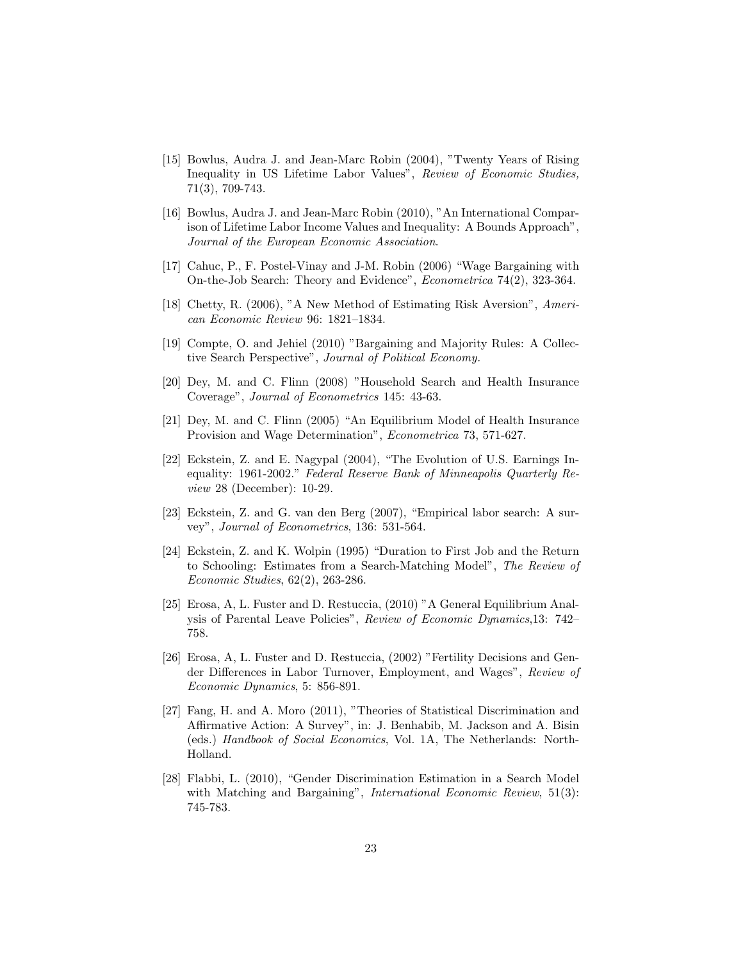- [15] Bowlus, Audra J. and Jean-Marc Robin (2004), "Twenty Years of Rising Inequality in US Lifetime Labor Values", Review of Economic Studies, 71(3), 709-743.
- [16] Bowlus, Audra J. and Jean-Marc Robin (2010), "An International Comparison of Lifetime Labor Income Values and Inequality: A Bounds Approach", Journal of the European Economic Association.
- [17] Cahuc, P., F. Postel-Vinay and J-M. Robin (2006) "Wage Bargaining with On-the-Job Search: Theory and Evidence", Econometrica 74(2), 323-364.
- [18] Chetty, R. (2006), "A New Method of Estimating Risk Aversion", American Economic Review 96: 1821–1834.
- [19] Compte, O. and Jehiel (2010) "Bargaining and Majority Rules: A Collective Search Perspective", Journal of Political Economy.
- [20] Dey, M. and C. Flinn (2008) "Household Search and Health Insurance Coverage", Journal of Econometrics 145: 43-63.
- [21] Dey, M. and C. Flinn (2005) "An Equilibrium Model of Health Insurance Provision and Wage Determination", Econometrica 73, 571-627.
- [22] Eckstein, Z. and E. Nagypal (2004), "The Evolution of U.S. Earnings Inequality: 1961-2002." Federal Reserve Bank of Minneapolis Quarterly Review 28 (December): 10-29.
- [23] Eckstein, Z. and G. van den Berg (2007), "Empirical labor search: A survey", Journal of Econometrics, 136: 531-564.
- [24] Eckstein, Z. and K. Wolpin (1995) "Duration to First Job and the Return to Schooling: Estimates from a Search-Matching Model", The Review of Economic Studies, 62(2), 263-286.
- [25] Erosa, A, L. Fuster and D. Restuccia, (2010) "A General Equilibrium Analysis of Parental Leave Policies", Review of Economic Dynamics,13: 742– 758.
- [26] Erosa, A, L. Fuster and D. Restuccia, (2002) "Fertility Decisions and Gender Differences in Labor Turnover, Employment, and Wages", Review of Economic Dynamics, 5: 856-891.
- [27] Fang, H. and A. Moro (2011), "Theories of Statistical Discrimination and Affirmative Action: A Survey", in: J. Benhabib, M. Jackson and A. Bisin (eds.) Handbook of Social Economics, Vol. 1A, The Netherlands: North-Holland.
- [28] Flabbi, L. (2010), "Gender Discrimination Estimation in a Search Model with Matching and Bargaining", *International Economic Review*, 51(3): 745-783.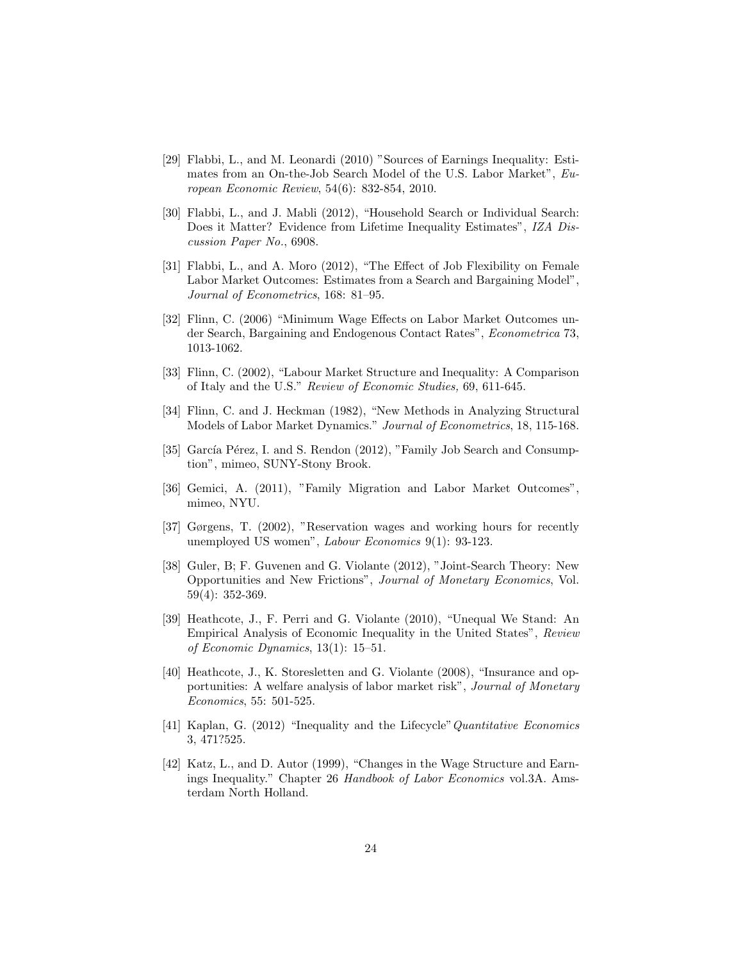- [29] Flabbi, L., and M. Leonardi (2010) "Sources of Earnings Inequality: Estimates from an On-the-Job Search Model of the U.S. Labor Market", European Economic Review, 54(6): 832-854, 2010.
- [30] Flabbi, L., and J. Mabli (2012), "Household Search or Individual Search: Does it Matter? Evidence from Lifetime Inequality Estimates", IZA Discussion Paper No., 6908.
- [31] Flabbi, L., and A. Moro (2012), "The Effect of Job Flexibility on Female Labor Market Outcomes: Estimates from a Search and Bargaining Model", Journal of Econometrics, 168: 81–95.
- [32] Flinn, C. (2006) "Minimum Wage Effects on Labor Market Outcomes under Search, Bargaining and Endogenous Contact Rates", Econometrica 73, 1013-1062.
- [33] Flinn, C. (2002), "Labour Market Structure and Inequality: A Comparison of Italy and the U.S." Review of Economic Studies, 69, 611-645.
- [34] Flinn, C. and J. Heckman (1982), "New Methods in Analyzing Structural Models of Labor Market Dynamics." Journal of Econometrics, 18, 115-168.
- [35] García Pérez, I. and S. Rendon (2012), "Family Job Search and Consumption", mimeo, SUNY-Stony Brook.
- [36] Gemici, A. (2011), "Family Migration and Labor Market Outcomes", mimeo, NYU.
- [37] Gørgens, T. (2002), "Reservation wages and working hours for recently unemployed US women", Labour Economics 9(1): 93-123.
- [38] Guler, B; F. Guvenen and G. Violante (2012), "Joint-Search Theory: New Opportunities and New Frictions", Journal of Monetary Economics, Vol. 59(4): 352-369.
- [39] Heathcote, J., F. Perri and G. Violante (2010), "Unequal We Stand: An Empirical Analysis of Economic Inequality in the United States", Review of Economic Dynamics, 13(1): 15–51.
- [40] Heathcote, J., K. Storesletten and G. Violante (2008), "Insurance and opportunities: A welfare analysis of labor market risk", Journal of Monetary Economics, 55: 501-525.
- [41] Kaplan, G. (2012) "Inequality and the Lifecycle" Quantitative Economics 3, 471?525.
- [42] Katz, L., and D. Autor (1999), "Changes in the Wage Structure and Earnings Inequality." Chapter 26 Handbook of Labor Economics vol.3A. Amsterdam North Holland.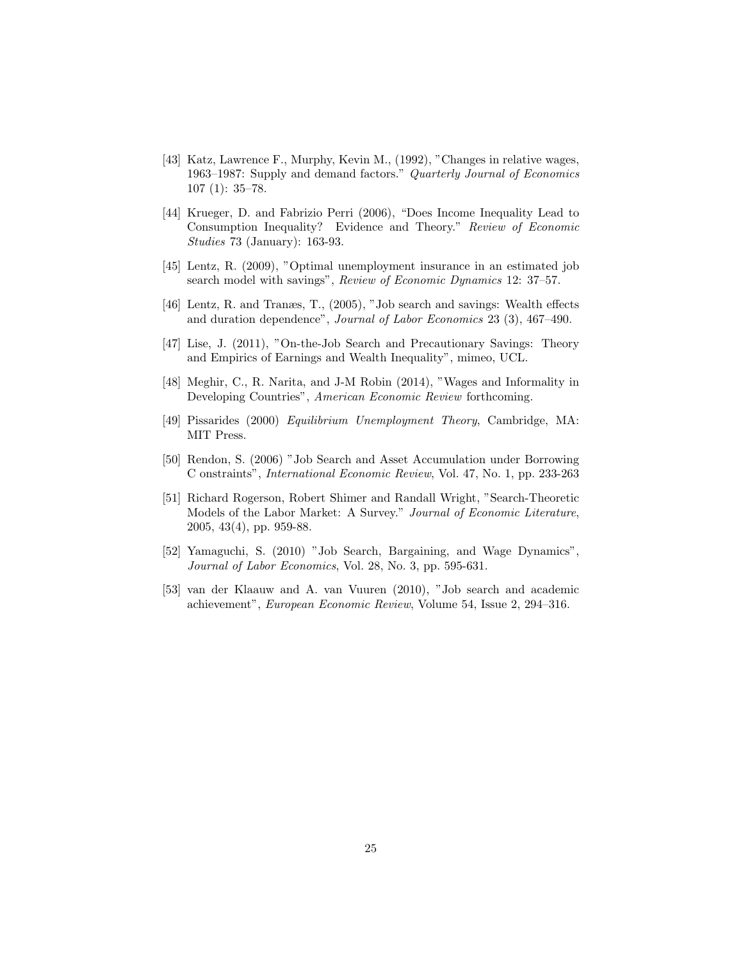- [43] Katz, Lawrence F., Murphy, Kevin M., (1992), "Changes in relative wages, 1963–1987: Supply and demand factors." Quarterly Journal of Economics 107 (1): 35–78.
- [44] Krueger, D. and Fabrizio Perri (2006), "Does Income Inequality Lead to Consumption Inequality? Evidence and Theory." Review of Economic Studies 73 (January): 163-93.
- [45] Lentz, R. (2009), "Optimal unemployment insurance in an estimated job search model with savings", Review of Economic Dynamics 12: 37–57.
- [46] Lentz, R. and Tranæs, T., (2005), "Job search and savings: Wealth effects and duration dependence", Journal of Labor Economics 23 (3), 467–490.
- [47] Lise, J. (2011), "On-the-Job Search and Precautionary Savings: Theory and Empirics of Earnings and Wealth Inequality", mimeo, UCL.
- [48] Meghir, C., R. Narita, and J-M Robin (2014), "Wages and Informality in Developing Countries", American Economic Review forthcoming.
- [49] Pissarides (2000) Equilibrium Unemployment Theory, Cambridge, MA: MIT Press.
- [50] Rendon, S. (2006) "Job Search and Asset Accumulation under Borrowing C onstraints", International Economic Review, Vol. 47, No. 1, pp. 233-263
- [51] Richard Rogerson, Robert Shimer and Randall Wright, "Search-Theoretic Models of the Labor Market: A Survey." Journal of Economic Literature, 2005, 43(4), pp. 959-88.
- [52] Yamaguchi, S. (2010) "Job Search, Bargaining, and Wage Dynamics", Journal of Labor Economics, Vol. 28, No. 3, pp. 595-631.
- [53] van der Klaauw and A. van Vuuren (2010), "Job search and academic achievement", European Economic Review, Volume 54, Issue 2, 294–316.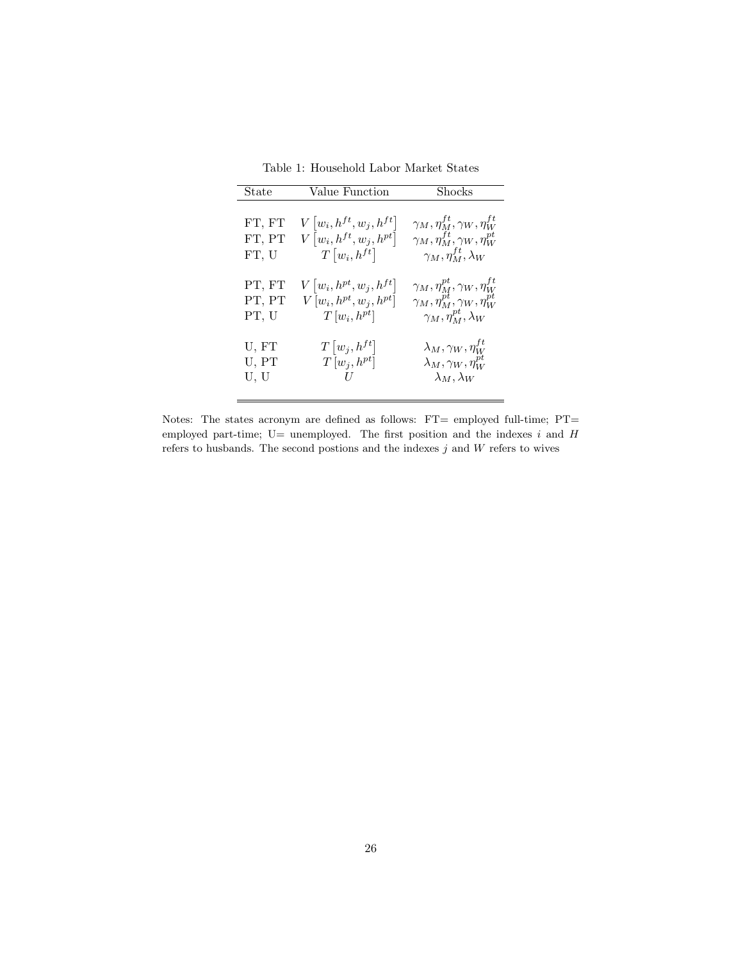Table 1: Household Labor Market States

| State  | Value Function                           | <b>Shocks</b>                                  |
|--------|------------------------------------------|------------------------------------------------|
| FT, FT | $V w_i, h^{ft}, w_j, h^{ft} $            | $\gamma_M, \eta^{ft}_M, \gamma_W, \eta^{ft}_W$ |
| FT, PT | $V\left[w_i, h^{ft}, w_j, h^{pt}\right]$ | $\gamma_M, \eta^{ft}_M, \gamma_W, \eta^{pt}_W$ |
| FT, U  | $T\left[w_i, h^{ft}\right]$              | $\gamma_M, \eta_M^{ft}, \lambda_W$             |
| PT, FT | $V\left[w_i, h^{pt}, w_j, h^{ft}\right]$ | $\gamma_M, \eta^{pt}_M, \gamma_W, \eta^{ft}_W$ |
| PT, PT | $V[w_i, h^{pt}, w_i, h^{pt}]$            | $\gamma_M, \eta^{pt}_M, \gamma_W, \eta^{pt}_W$ |
| PT, U  | $T[w_i, h^{pt}]$                         | $\gamma_M, \eta_M^{pt}, \lambda_W$             |
| U, FT  | $T w_i,h^{ft} $                          | $\lambda_M, \gamma_W, \eta^{ft}_W$             |
| U, PT  | $T[w_j, h^{pt}]$                         | $\lambda_M, \gamma_W, \eta^{pt}_W$             |
| U, U   | II                                       | $\lambda_M, \lambda_W$                         |

Notes: The states acronym are defined as follows: FT= employed full-time; PT= employed part-time;  $U=$  unemployed. The first position and the indexes i and H refers to husbands. The second postions and the indexes  $j$  and  $W$  refers to wives

 $\equiv$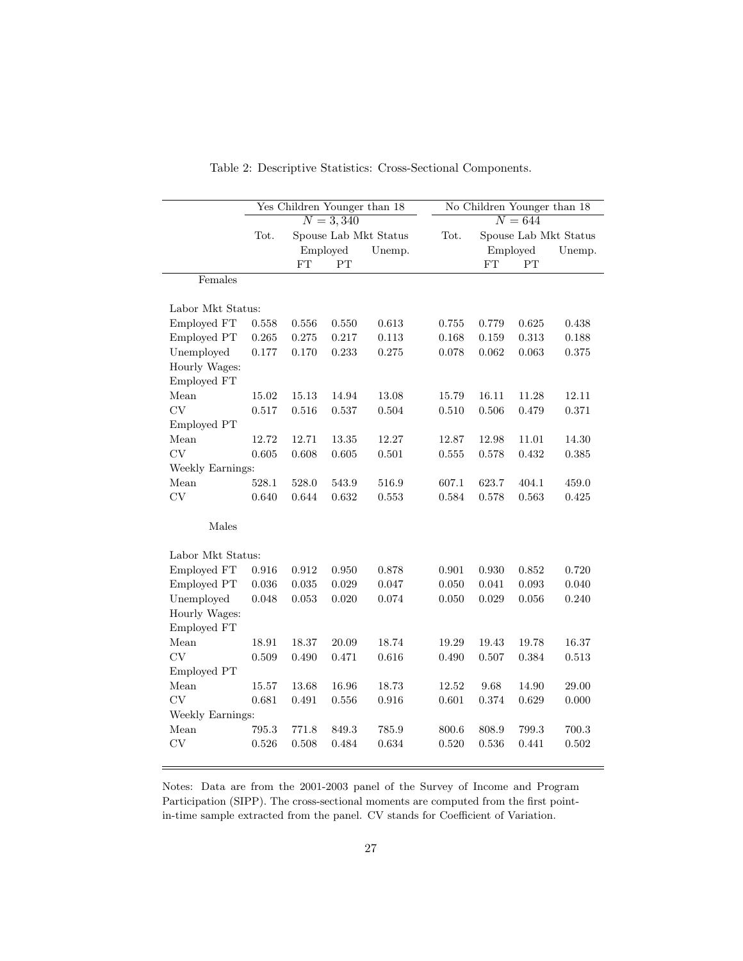|                   | Yes Children Younger than 18 |                       |           |        | No Children Younger than 18 |                       |          |           |  |
|-------------------|------------------------------|-----------------------|-----------|--------|-----------------------------|-----------------------|----------|-----------|--|
|                   | $N = 3,340$                  |                       |           |        |                             | $N = 644$             |          |           |  |
|                   | Tot.                         | Spouse Lab Mkt Status |           |        | Tot.                        | Spouse Lab Mkt Status |          |           |  |
|                   |                              |                       | Employed  | Unemp. |                             |                       | Employed | Unemp.    |  |
|                   |                              | FT                    | PT        |        |                             | FT                    | PT       |           |  |
| Females           |                              |                       |           |        |                             |                       |          |           |  |
|                   |                              |                       |           |        |                             |                       |          |           |  |
| Labor Mkt Status: |                              |                       |           |        |                             |                       |          |           |  |
| Employed FT       | 0.558                        | 0.556                 | 0.550     | 0.613  | 0.755                       | 0.779                 | 0.625    | 0.438     |  |
| Employed PT       | 0.265                        | 0.275                 | 0.217     | 0.113  | 0.168                       | 0.159                 | 0.313    | $0.188\,$ |  |
| Unemployed        | 0.177                        | 0.170                 | 0.233     | 0.275  | 0.078                       | 0.062                 | 0.063    | 0.375     |  |
| Hourly Wages:     |                              |                       |           |        |                             |                       |          |           |  |
| Employed FT       |                              |                       |           |        |                             |                       |          |           |  |
| Mean              | 15.02                        | 15.13                 | 14.94     | 13.08  | 15.79                       | 16.11                 | 11.28    | 12.11     |  |
| CV                | 0.517                        | 0.516                 | 0.537     | 0.504  | 0.510                       | 0.506                 | 0.479    | 0.371     |  |
| Employed PT       |                              |                       |           |        |                             |                       |          |           |  |
| Mean              | 12.72                        | 12.71                 | 13.35     | 12.27  | 12.87                       | 12.98                 | 11.01    | 14.30     |  |
| CV                | 0.605                        | 0.608                 | 0.605     | 0.501  | 0.555                       | 0.578                 | 0.432    | 0.385     |  |
| Weekly Earnings:  |                              |                       |           |        |                             |                       |          |           |  |
| Mean              | 528.1                        | 528.0                 | 543.9     | 516.9  | 607.1                       | 623.7                 | 404.1    | 459.0     |  |
| CV                | 0.640                        | 0.644                 | 0.632     | 0.553  | 0.584                       | 0.578                 | 0.563    | 0.425     |  |
|                   |                              |                       |           |        |                             |                       |          |           |  |
| Males             |                              |                       |           |        |                             |                       |          |           |  |
|                   |                              |                       |           |        |                             |                       |          |           |  |
| Labor Mkt Status: |                              |                       |           |        |                             |                       |          |           |  |
| Employed FT       | 0.916                        | 0.912                 | 0.950     | 0.878  | 0.901                       | 0.930                 | 0.852    | 0.720     |  |
| Employed PT       | 0.036                        | 0.035                 | 0.029     | 0.047  | 0.050                       | 0.041                 | 0.093    | 0.040     |  |
| Unemployed        | 0.048                        | 0.053                 | 0.020     | 0.074  | 0.050                       | 0.029                 | 0.056    | 0.240     |  |
| Hourly Wages:     |                              |                       |           |        |                             |                       |          |           |  |
| Employed FT       |                              |                       |           |        |                             |                       |          |           |  |
| Mean              | 18.91                        | 18.37                 | 20.09     | 18.74  | 19.29                       | 19.43                 | 19.78    | 16.37     |  |
| CV                | 0.509                        | 0.490                 | 0.471     | 0.616  | 0.490                       | 0.507                 | 0.384    | 0.513     |  |
| Employed PT       |                              |                       |           |        |                             |                       |          |           |  |
| Mean              | 15.57                        | 13.68                 | 16.96     | 18.73  | 12.52                       | 9.68                  | 14.90    | 29.00     |  |
| <b>CV</b>         | 0.681                        | $\,0.491\,$           | $0.556\,$ | 0.916  | 0.601                       | $\rm 0.374$           | 0.629    | 0.000     |  |
| Weekly Earnings:  |                              |                       |           |        |                             |                       |          |           |  |
| Mean              | 795.3                        | 771.8                 | 849.3     | 785.9  | 800.6                       | 808.9                 | 799.3    | 700.3     |  |
| CV                | 0.526                        | 0.508                 | 0.484     | 0.634  | 0.520                       | 0.536                 | 0.441    | 0.502     |  |
|                   |                              |                       |           |        |                             |                       |          |           |  |

Table 2: Descriptive Statistics: Cross-Sectional Components.

Notes: Data are from the 2001-2003 panel of the Survey of Income and Program Participation (SIPP). The cross-sectional moments are computed from the first pointin-time sample extracted from the panel. CV stands for Coefficient of Variation.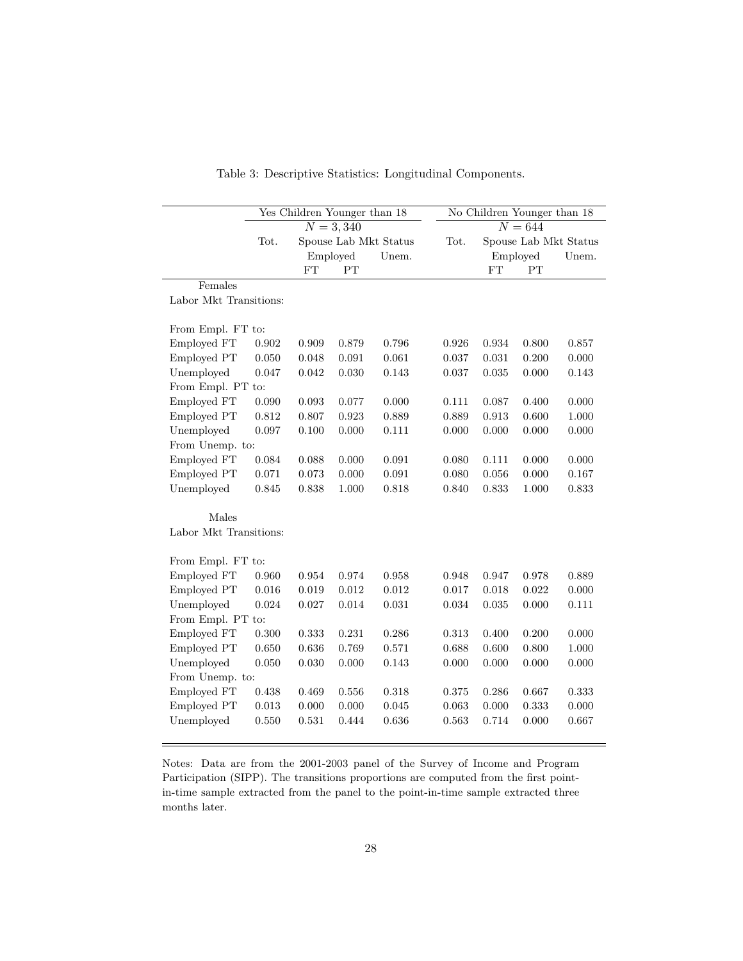|                        | Yes Children Younger than 18 |                       |           |       | No Children Younger than 18 |             |                       |       |
|------------------------|------------------------------|-----------------------|-----------|-------|-----------------------------|-------------|-----------------------|-------|
|                        | $N = 3,340$                  |                       |           |       | $\overline{N=644}$          |             |                       |       |
|                        | Tot.                         | Spouse Lab Mkt Status |           |       | Tot.                        |             | Spouse Lab Mkt Status |       |
|                        |                              |                       | Employed  | Unem. |                             |             | Employed              | Unem. |
|                        |                              | FT                    | PT        |       |                             | FT          | PT                    |       |
| Females                |                              |                       |           |       |                             |             |                       |       |
| Labor Mkt Transitions: |                              |                       |           |       |                             |             |                       |       |
| From Empl. FT to:      |                              |                       |           |       |                             |             |                       |       |
| Employed FT            | 0.902                        | 0.909                 | 0.879     | 0.796 | 0.926                       | $\,0.934\,$ | 0.800                 | 0.857 |
| Employed PT            | 0.050                        | 0.048                 | 0.091     | 0.061 | 0.037                       | 0.031       | 0.200                 | 0.000 |
| Unemployed             | 0.047                        | 0.042                 | 0.030     | 0.143 | 0.037                       | 0.035       | 0.000                 | 0.143 |
| From Empl. PT to:      |                              |                       |           |       |                             |             |                       |       |
| Employed FT            | 0.090                        | 0.093                 | 0.077     | 0.000 | 0.111                       | 0.087       | 0.400                 | 0.000 |
| Employed PT            | 0.812                        | 0.807                 | 0.923     | 0.889 | 0.889                       | 0.913       | 0.600                 | 1.000 |
| Unemployed             | 0.097                        | 0.100                 | 0.000     | 0.111 | 0.000                       | 0.000       | 0.000                 | 0.000 |
| From Unemp. to:        |                              |                       |           |       |                             |             |                       |       |
| Employed FT            | 0.084                        | 0.088                 | 0.000     | 0.091 | 0.080                       | 0.111       | 0.000                 | 0.000 |
| Employed PT            | 0.071                        | 0.073                 | 0.000     | 0.091 | 0.080                       | 0.056       | 0.000                 | 0.167 |
| Unemployed             | 0.845                        | 0.838                 | 1.000     | 0.818 | 0.840                       | 0.833       | 1.000                 | 0.833 |
|                        |                              |                       |           |       |                             |             |                       |       |
| Males                  |                              |                       |           |       |                             |             |                       |       |
| Labor Mkt Transitions: |                              |                       |           |       |                             |             |                       |       |
| From Empl. FT to:      |                              |                       |           |       |                             |             |                       |       |
| Employed FT            | 0.960                        | 0.954                 | 0.974     | 0.958 | 0.948                       | 0.947       | 0.978                 | 0.889 |
| Employed PT            | 0.016                        | 0.019                 | 0.012     | 0.012 | 0.017                       | 0.018       | 0.022                 | 0.000 |
| Unemployed             | 0.024                        | 0.027                 | 0.014     | 0.031 | 0.034                       | 0.035       | 0.000                 | 0.111 |
| From Empl. PT to:      |                              |                       |           |       |                             |             |                       |       |
| Employed FT            | 0.300                        | 0.333                 | 0.231     | 0.286 | 0.313                       | 0.400       | 0.200                 | 0.000 |
| Employed PT            | 0.650                        | 0.636                 | 0.769     | 0.571 | 0.688                       | 0.600       | 0.800                 | 1.000 |
| Unemployed             | 0.050                        | 0.030                 | 0.000     | 0.143 | 0.000                       | 0.000       | 0.000                 | 0.000 |
| From Unemp. to:        |                              |                       |           |       |                             |             |                       |       |
| Employed FT            | 0.438                        | 0.469                 | 0.556     | 0.318 | 0.375                       | 0.286       | 0.667                 | 0.333 |
| Employed PT            | 0.013                        | 0.000                 | $0.000\,$ | 0.045 | 0.063                       | 0.000       | 0.333                 | 0.000 |
| Unemployed             | 0.550                        | 0.531                 | 0.444     | 0.636 | 0.563                       | 0.714       | 0.000                 | 0.667 |

Table 3: Descriptive Statistics: Longitudinal Components.

Notes: Data are from the 2001-2003 panel of the Survey of Income and Program Participation (SIPP). The transitions proportions are computed from the first pointin-time sample extracted from the panel to the point-in-time sample extracted three months later.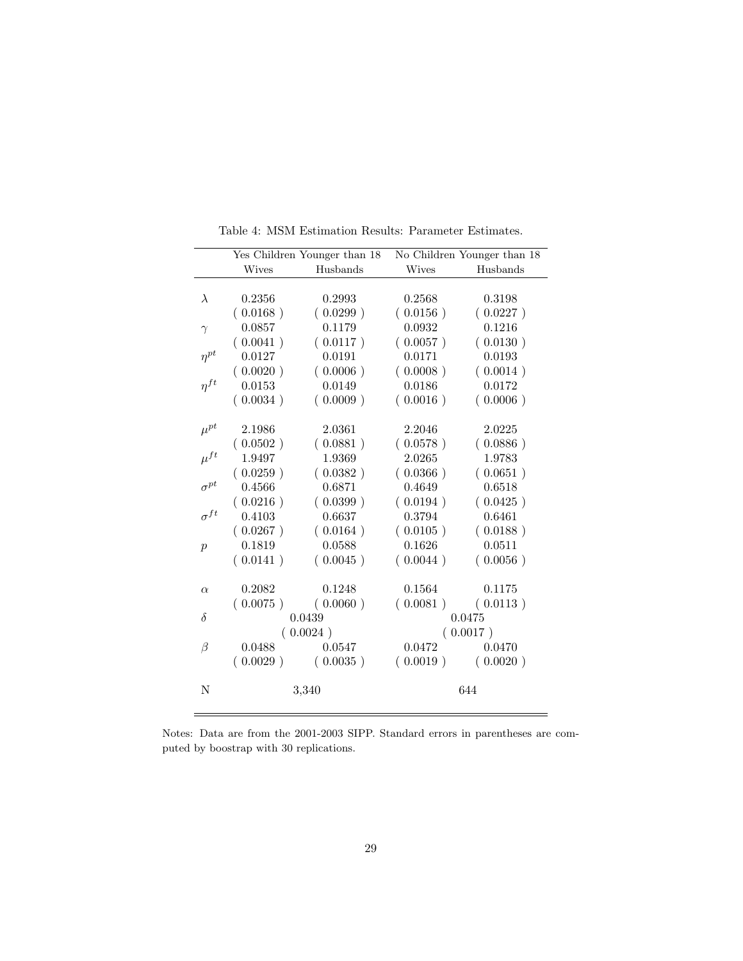|                  |              | Yes Children Younger than 18 |              | No Children Younger than 18 |
|------------------|--------------|------------------------------|--------------|-----------------------------|
|                  | <b>Wives</b> | Husbands                     | <b>Wives</b> | Husbands                    |
|                  |              |                              |              |                             |
| $\lambda$        | 0.2356       | 0.2993                       | 0.2568       | 0.3198                      |
|                  | (0.0168)     | (0.0299)                     | (0.0156)     | (0.0227)                    |
| $\gamma$         | 0.0857       | 0.1179                       | 0.0932       | 0.1216                      |
|                  | (0.0041)     | (0.0117)                     | (0.0057)     | (0.0130)                    |
| $\eta^{pt}$      | 0.0127       | 0.0191                       | 0.0171       | 0.0193                      |
|                  | (0.0020)     | (0.0006)                     | (0.0008)     | (0.0014)                    |
| $\eta^{ft}$      | 0.0153       | 0.0149                       | 0.0186       | 0.0172                      |
|                  | (0.0034)     | (0.0009)                     | (0.0016)     | (0.0006)                    |
|                  |              |                              |              |                             |
| $\mu^{pt}$       | 2.1986       | 2.0361                       | 2.2046       | 2.0225                      |
|                  | (0.0502)     | (0.0881)                     | (0.0578)     | (0.0886)                    |
| $\mu^{ft}$       | 1.9497       | 1.9369                       | 2.0265       | 1.9783                      |
|                  | (0.0259)     | (0.0382)                     | (0.0366)     | (0.0651)                    |
| $\sigma^{pt}$    | 0.4566       | 0.6871                       | 0.4649       | 0.6518                      |
|                  | (0.0216)     | (0.0399)                     | (0.0194)     | (0.0425)                    |
| $\sigma^{ft}$    | 0.4103       | 0.6637                       | 0.3794       | 0.6461                      |
|                  | (0.0267)     | (0.0164)                     | (0.0105)     | (0.0188)                    |
| $\boldsymbol{p}$ | 0.1819       | 0.0588                       | 0.1626       | 0.0511                      |
|                  | (0.0141)     | (0.0045)                     | (0.0044)     | (0.0056)                    |
|                  |              |                              |              |                             |
| $\alpha$         | 0.2082       | 0.1248                       | 0.1564       | 0.1175                      |
|                  | (0.0075)     | (0.0060)                     | (0.0081)     | (0.0113)                    |
| $\delta$         |              | 0.0439                       |              | 0.0475                      |
|                  |              | (0.0024)                     |              | (0.0017)                    |
| β                | 0.0488       | 0.0547                       | 0.0472       | 0.0470                      |
|                  | (0.0029)     | (0.0035)                     | (0.0019)     | (0.0020)                    |
| N                |              | 3,340                        |              | 644                         |
|                  |              |                              |              |                             |

Table 4: MSM Estimation Results: Parameter Estimates.

Notes: Data are from the 2001-2003 SIPP. Standard errors in parentheses are computed by boostrap with 30 replications.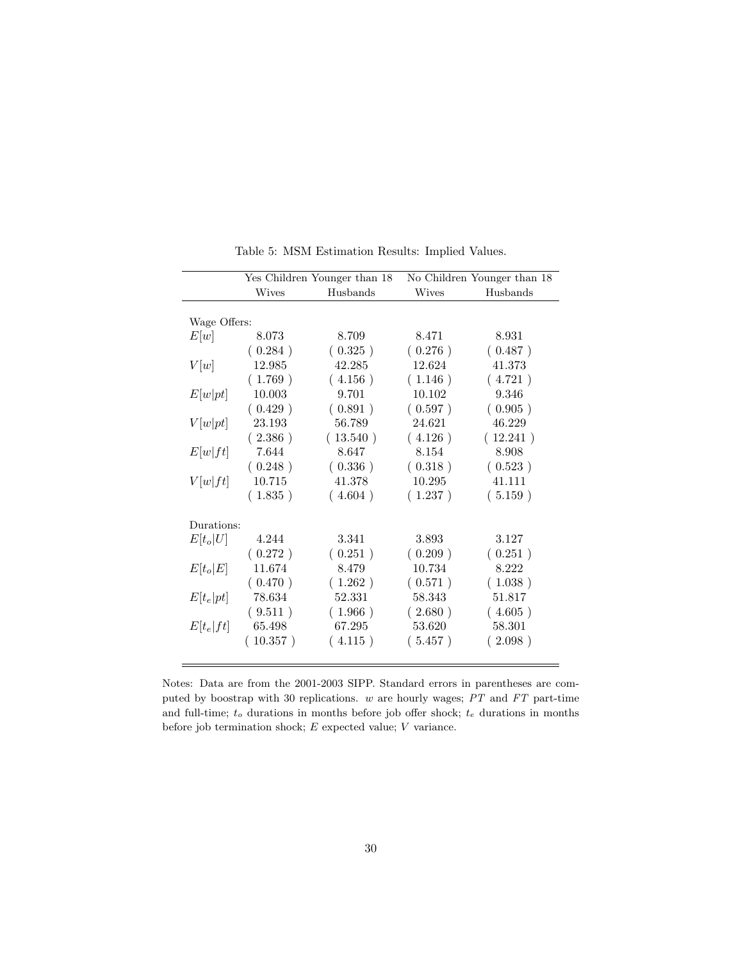|              |              | Yes Children Younger than 18 | No Children Younger than 18 |          |  |
|--------------|--------------|------------------------------|-----------------------------|----------|--|
|              | <b>Wives</b> | Husbands                     | <b>Wives</b>                | Husbands |  |
|              |              |                              |                             |          |  |
| Wage Offers: |              |                              |                             |          |  |
| E[w]         | 8.073        | 8.709                        | 8.471                       | 8.931    |  |
|              | (0.284)      | (0.325)                      | (0.276)                     | (0.487)  |  |
| V[w]         | 12.985       | 42.285                       | 12.624                      | 41.373   |  |
|              | (1.769)      | (4.156)                      | (1.146)                     | (4.721)  |  |
| E[w pt]      | 10.003       | 9.701                        | 10.102                      | 9.346    |  |
|              | (0.429)      | (0.891)                      | (0.597)                     | (0.905)  |  |
| V[w pt]      | 23.193       | 56.789                       | 24.621                      | 46.229   |  |
|              | (2.386)      | (13.540)                     | (4.126)                     | (12.241) |  |
| E[w]ft       | 7.644        | 8.647                        | 8.154                       | 8.908    |  |
|              | (0.248)      | (0.336)                      | (0.318)                     | (0.523)  |  |
| V[w]ft]      | $10.715\,$   | 41.378                       | 10.295                      | 41.111   |  |
|              | (1.835)      | (4.604)                      | (1.237)                     | (5.159)  |  |
| Durations:   |              |                              |                             |          |  |
| $E[t_o U]$   | 4.244        | 3.341                        | 3.893                       | 3.127    |  |
|              | (0.272)      | (0.251)                      | (0.209)                     | (0.251)  |  |
| $E[t_o E]$   | 11.674       | 8.479                        | 10.734                      | 8.222    |  |
|              | (0.470)      | (1.262)                      | (0.571)                     | (1.038)  |  |
| $E[t_e pt]$  | 78.634       | 52.331                       | 58.343                      | 51.817   |  |
|              | (9.511)      | (1.966)                      | (2.680)                     | (4.605)  |  |
| $E[t_e ft]$  | 65.498       | 67.295                       | 53.620                      | 58.301   |  |
|              | (10.357)     | (4.115)                      | (5.457)                     | (2.098)  |  |
|              |              |                              |                             |          |  |

Table 5: MSM Estimation Results: Implied Values.

Notes: Data are from the 2001-2003 SIPP. Standard errors in parentheses are computed by boostrap with 30 replications. w are hourly wages; PT and FT part-time and full-time;  $t_o$  durations in months before job offer shock;  $t_e$  durations in months before job termination shock;  $E$  expected value;  $V$  variance.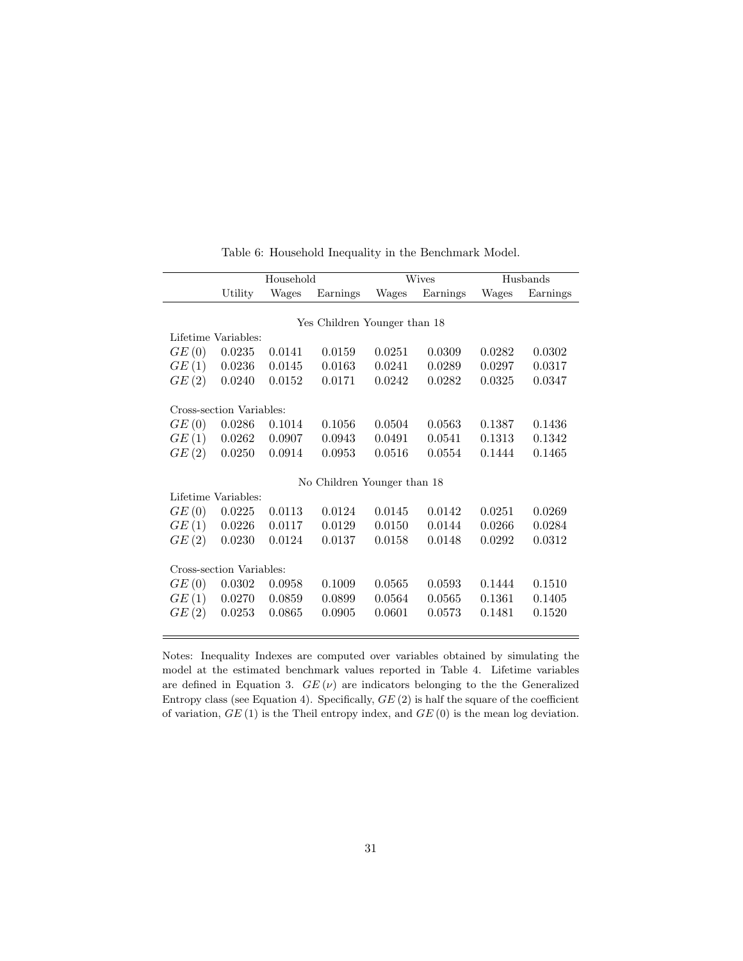|                              |                          | Household |                             |        | <b>Wives</b> | Husbands |          |  |
|------------------------------|--------------------------|-----------|-----------------------------|--------|--------------|----------|----------|--|
|                              | Utility                  | Wages     | Earnings                    | Wages  | Earnings     | Wages    | Earnings |  |
|                              |                          |           |                             |        |              |          |          |  |
| Yes Children Younger than 18 |                          |           |                             |        |              |          |          |  |
|                              | Lifetime Variables:      |           |                             |        |              |          |          |  |
| GE(0)                        | 0.0235                   | 0.0141    | 0.0159                      | 0.0251 | 0.0309       | 0.0282   | 0.0302   |  |
| GE(1)                        | 0.0236                   | 0.0145    | 0.0163                      | 0.0241 | 0.0289       | 0.0297   | 0.0317   |  |
| GE(2)                        | 0.0240                   | 0.0152    | 0.0171                      | 0.0242 | 0.0282       | 0.0325   | 0.0347   |  |
|                              |                          |           |                             |        |              |          |          |  |
|                              | Cross-section Variables: |           |                             |        |              |          |          |  |
| GE(0)                        | 0.0286                   | 0.1014    | 0.1056                      | 0.0504 | 0.0563       | 0.1387   | 0.1436   |  |
| GE(1)                        | 0.0262                   | 0.0907    | 0.0943                      | 0.0491 | 0.0541       | 0.1313   | 0.1342   |  |
| GE(2)                        | 0.0250                   | 0.0914    | 0.0953                      | 0.0516 | 0.0554       | 0.1444   | 0.1465   |  |
|                              |                          |           |                             |        |              |          |          |  |
|                              |                          |           | No Children Younger than 18 |        |              |          |          |  |
|                              | Lifetime Variables:      |           |                             |        |              |          |          |  |
| GE(0)                        | 0.0225                   | 0.0113    | 0.0124                      | 0.0145 | 0.0142       | 0.0251   | 0.0269   |  |
| GE(1)                        | 0.0226                   | 0.0117    | 0.0129                      | 0.0150 | 0.0144       | 0.0266   | 0.0284   |  |
| GE(2)                        | 0.0230                   | 0.0124    | 0.0137                      | 0.0158 | 0.0148       | 0.0292   | 0.0312   |  |
|                              |                          |           |                             |        |              |          |          |  |
|                              | Cross-section Variables: |           |                             |        |              |          |          |  |
| GE(0)                        | 0.0302                   | 0.0958    | 0.1009                      | 0.0565 | 0.0593       | 0.1444   | 0.1510   |  |
| GE(1)                        | 0.0270                   | 0.0859    | 0.0899                      | 0.0564 | 0.0565       | 0.1361   | 0.1405   |  |
| GE(2)                        | 0.0253                   | 0.0865    | 0.0905                      | 0.0601 | 0.0573       | 0.1481   | 0.1520   |  |
|                              |                          |           |                             |        |              |          |          |  |

Table 6: Household Inequality in the Benchmark Model.

Notes: Inequality Indexes are computed over variables obtained by simulating the model at the estimated benchmark values reported in Table 4. Lifetime variables are defined in Equation 3.  $GE(\nu)$  are indicators belonging to the the Generalized Entropy class (see Equation 4). Specifically,  $GE(2)$  is half the square of the coefficient of variation,  $GE(1)$  is the Theil entropy index, and  $GE(0)$  is the mean log deviation.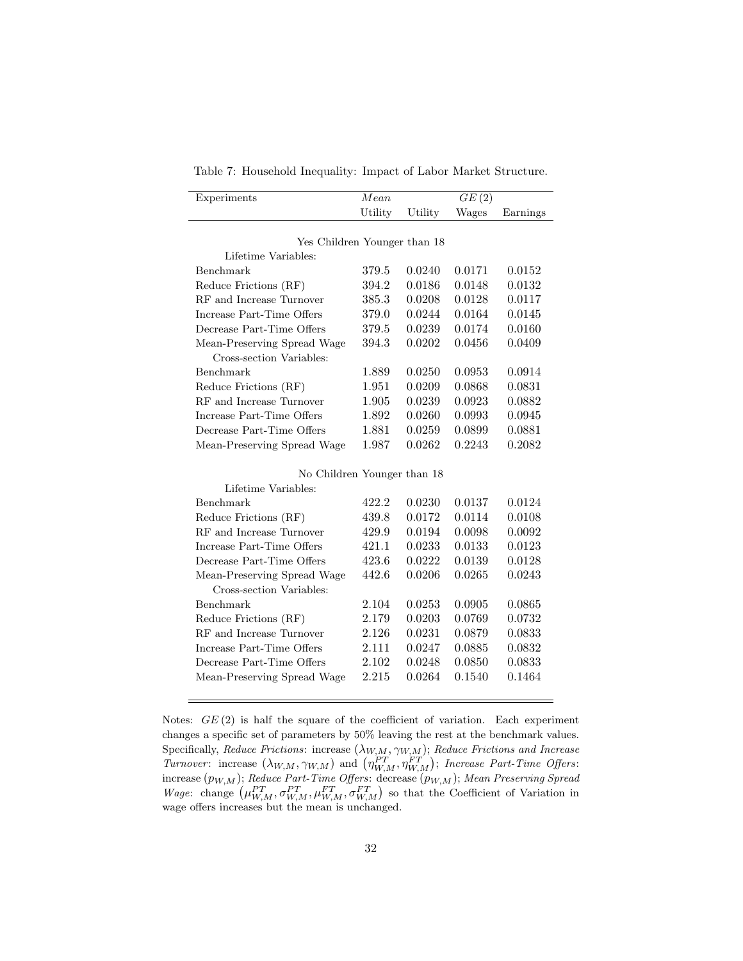Table 7: Household Inequality: Impact of Labor Market Structure.

| Experiments                  | Mean    |         | GE(2)  |          |
|------------------------------|---------|---------|--------|----------|
|                              | Utility | Utility | Wages  | Earnings |
|                              |         |         |        |          |
| Yes Children Younger than 18 |         |         |        |          |
| Lifetime Variables:          |         |         |        |          |
| Benchmark                    | 379.5   | 0.0240  | 0.0171 | 0.0152   |
| Reduce Frictions (RF)        | 394.2   | 0.0186  | 0.0148 | 0.0132   |
| RF and Increase Turnover     | 385.3   | 0.0208  | 0.0128 | 0.0117   |
| Increase Part-Time Offers    | 379.0   | 0.0244  | 0.0164 | 0.0145   |
| Decrease Part-Time Offers    | 379.5   | 0.0239  | 0.0174 | 0.0160   |
| Mean-Preserving Spread Wage  | 394.3   | 0.0202  | 0.0456 | 0.0409   |
| Cross-section Variables:     |         |         |        |          |
| Benchmark                    | 1.889   | 0.0250  | 0.0953 | 0.0914   |
| Reduce Frictions (RF)        | 1.951   | 0.0209  | 0.0868 | 0.0831   |
| RF and Increase Turnover     | 1.905   | 0.0239  | 0.0923 | 0.0882   |
| Increase Part-Time Offers    | 1.892   | 0.0260  | 0.0993 | 0.0945   |
| Decrease Part-Time Offers    | 1.881   | 0.0259  | 0.0899 | 0.0881   |
| Mean-Preserving Spread Wage  | 1.987   | 0.0262  | 0.2243 | 0.2082   |
| No Children Younger than 18  |         |         |        |          |
| Lifetime Variables:          |         |         |        |          |
| Benchmark                    | 422.2   | 0.0230  | 0.0137 | 0.0124   |
| Reduce Frictions (RF)        | 439.8   | 0.0172  | 0.0114 | 0.0108   |
| RF and Increase Turnover     | 429.9   | 0.0194  | 0.0098 | 0.0092   |
| Increase Part-Time Offers    | 421.1   | 0.0233  | 0.0133 | 0.0123   |
| Decrease Part-Time Offers    | 423.6   | 0.0222  | 0.0139 | 0.0128   |
| Mean-Preserving Spread Wage  | 442.6   | 0.0206  | 0.0265 | 0.0243   |
| Cross-section Variables:     |         |         |        |          |
| Benchmark                    | 2.104   | 0.0253  | 0.0905 | 0.0865   |
| Reduce Frictions (RF)        | 2.179   | 0.0203  | 0.0769 | 0.0732   |
| RF and Increase Turnover     | 2.126   | 0.0231  | 0.0879 | 0.0833   |
| Increase Part-Time Offers    | 2.111   | 0.0247  | 0.0885 | 0.0832   |
| Decrease Part-Time Offers    | 2.102   | 0.0248  | 0.0850 | 0.0833   |
| Mean-Preserving Spread Wage  | 2.215   | 0.0264  | 0.1540 | 0.1464   |
|                              |         |         |        |          |

Notes:  $GE(2)$  is half the square of the coefficient of variation. Each experiment changes a specific set of parameters by 50% leaving the rest at the benchmark values. Specifically, Reduce Frictions: increase  $(\lambda_{W,M}, \gamma_{W,M})$ ; Reduce Frictions and Increase Turnover: increase  $(\lambda_{W,M}, \gamma_{W,M})$  and  $(\eta_{W,M}^{PT}, \eta_{W,M}^{FT})$ ; Increase Part-Time Offers: increase  $(p_{W,M});$  Reduce Part-Time Offers: decrease  $(p_{W,M});$  Mean Preserving Spread Wage: change  $(\mu_{W,M}^{PT}, \sigma_{W,M}^{PT}, \mu_{W,M}^{FT}, \sigma_{W,M}^{FT})$  so that the Coefficient of Variation in wage offers increases but the mean is unchanged.